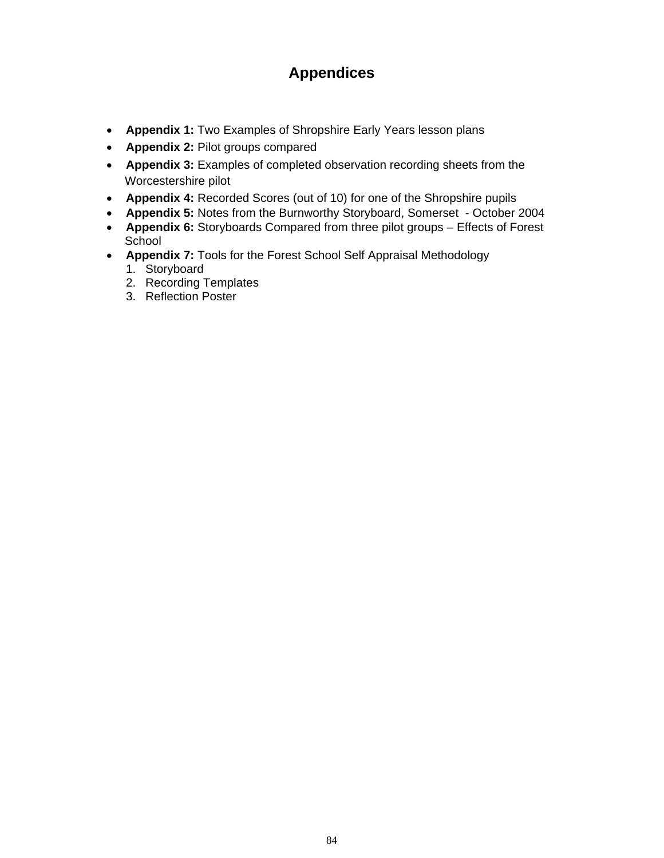## **Appendices**

- **Appendix 1:** Two Examples of Shropshire Early Years lesson plans
- **Appendix 2:** Pilot groups compared
- **Appendix 3:** Examples of completed observation recording sheets from the Worcestershire pilot
- **Appendix 4:** Recorded Scores (out of 10) for one of the Shropshire pupils
- **Appendix 5:** Notes from the Burnworthy Storyboard, Somerset October 2004
- **Appendix 6:** Storyboards Compared from three pilot groups Effects of Forest School
- **Appendix 7:** Tools for the Forest School Self Appraisal Methodology
	- 1. Storyboard
	- 2. Recording Templates
	- 3. Reflection Poster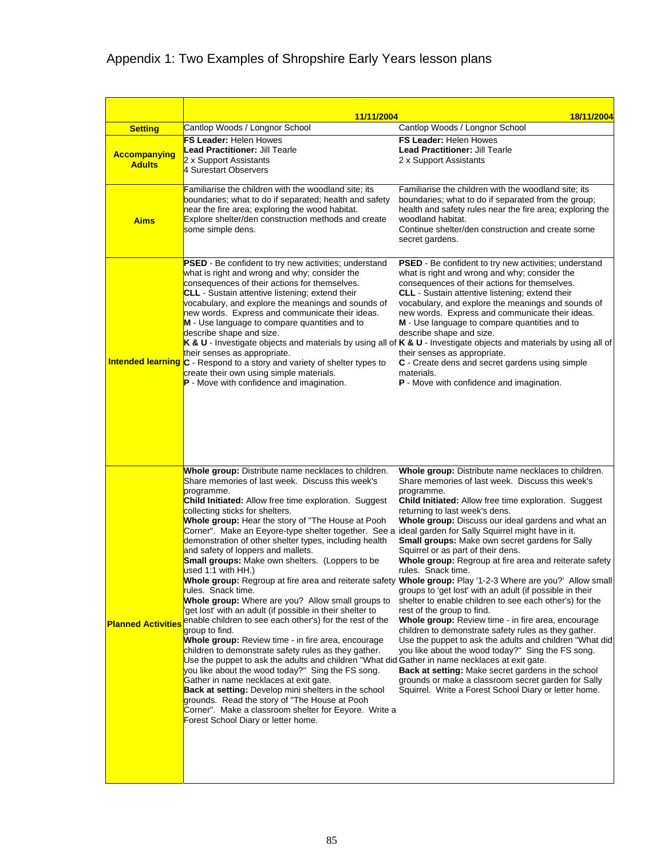## Appendix 1: Two Examples of Shropshire Early Years lesson plans

| <b>Setting</b>                       | 11/11/2004<br>Cantlop Woods / Longnor School                                                                                                                                                                                                                                                                                                                                                                                                                                                                                                                                                                                                                                                                                                                                                                                                                                                                                                                                                                                                                                                                                                                                                                                                                                                                                | 18/11/2004<br>Cantlop Woods / Longnor School                                                                                                                                                                                                                                                                                                                                                                                                                                                                                                                                                                                                                                                                                                                                                                                                                                                                                                                                                                                                                                                                                                 |
|--------------------------------------|-----------------------------------------------------------------------------------------------------------------------------------------------------------------------------------------------------------------------------------------------------------------------------------------------------------------------------------------------------------------------------------------------------------------------------------------------------------------------------------------------------------------------------------------------------------------------------------------------------------------------------------------------------------------------------------------------------------------------------------------------------------------------------------------------------------------------------------------------------------------------------------------------------------------------------------------------------------------------------------------------------------------------------------------------------------------------------------------------------------------------------------------------------------------------------------------------------------------------------------------------------------------------------------------------------------------------------|----------------------------------------------------------------------------------------------------------------------------------------------------------------------------------------------------------------------------------------------------------------------------------------------------------------------------------------------------------------------------------------------------------------------------------------------------------------------------------------------------------------------------------------------------------------------------------------------------------------------------------------------------------------------------------------------------------------------------------------------------------------------------------------------------------------------------------------------------------------------------------------------------------------------------------------------------------------------------------------------------------------------------------------------------------------------------------------------------------------------------------------------|
| <b>Accompanying</b><br><b>Adults</b> | <b>FS Leader: Helen Howes</b><br><b>Lead Practitioner:</b> Jill Tearle<br>2 x Support Assistants<br>4 Surestart Observers                                                                                                                                                                                                                                                                                                                                                                                                                                                                                                                                                                                                                                                                                                                                                                                                                                                                                                                                                                                                                                                                                                                                                                                                   | <b>FS Leader: Helen Howes</b><br>Lead Practitioner: Jill Tearle<br>2 x Support Assistants                                                                                                                                                                                                                                                                                                                                                                                                                                                                                                                                                                                                                                                                                                                                                                                                                                                                                                                                                                                                                                                    |
| <b>Aims</b>                          | Familiarise the children with the woodland site; its<br>boundaries; what to do if separated; health and safety<br>near the fire area; exploring the wood habitat.<br>Explore shelter/den construction methods and create<br>some simple dens.                                                                                                                                                                                                                                                                                                                                                                                                                                                                                                                                                                                                                                                                                                                                                                                                                                                                                                                                                                                                                                                                               | Familiarise the children with the woodland site; its<br>boundaries; what to do if separated from the group;<br>health and safety rules near the fire area; exploring the<br>woodland habitat.<br>Continue shelter/den construction and create some<br>secret gardens.                                                                                                                                                                                                                                                                                                                                                                                                                                                                                                                                                                                                                                                                                                                                                                                                                                                                        |
|                                      | PSED - Be confident to try new activities; understand<br>what is right and wrong and why; consider the<br>consequences of their actions for themselves.<br><b>CLL</b> - Sustain attentive listening; extend their<br>vocabulary, and explore the meanings and sounds of<br>new words. Express and communicate their ideas.<br>M - Use language to compare quantities and to<br>describe shape and size.<br>their senses as appropriate.<br>Intended learning C - Respond to a story and variety of shelter types to<br>create their own using simple materials.<br>P - Move with confidence and imagination.                                                                                                                                                                                                                                                                                                                                                                                                                                                                                                                                                                                                                                                                                                                | <b>PSED</b> - Be confident to try new activities; understand<br>what is right and wrong and why; consider the<br>consequences of their actions for themselves.<br><b>CLL</b> - Sustain attentive listening; extend their<br>vocabulary, and explore the meanings and sounds of<br>new words. Express and communicate their ideas.<br><b>M</b> - Use language to compare quantities and to<br>describe shape and size.<br>K & U - Investigate objects and materials by using all of K & U - Investigate objects and materials by using all of<br>their senses as appropriate.<br>C - Create dens and secret gardens using simple<br>materials.<br>P - Move with confidence and imagination.                                                                                                                                                                                                                                                                                                                                                                                                                                                   |
| <b>Planned Activities</b>            | Whole group: Distribute name necklaces to children.<br>Share memories of last week. Discuss this week's<br>programme.<br><b>Child Initiated:</b> Allow free time exploration. Suggest<br>collecting sticks for shelters.<br>Whole group: Hear the story of "The House at Pooh<br>Corner". Make an Eeyore-type shelter together. See a ideal garden for Sally Squirrel might have in it.<br>demonstration of other shelter types, including health<br>and safety of loppers and mallets.<br><b>Small groups:</b> Make own shelters. (Loppers to be<br>used 1:1 with HH.)<br>rules. Snack time.<br>Whole group: Where are you? Allow small groups to<br>get lost' with an adult (if possible in their shelter to<br>enable children to see each other's) for the rest of the<br>group to find.<br>Whole group: Review time - in fire area, encourage<br>children to demonstrate safety rules as they gather.<br>Use the puppet to ask the adults and children "What did Gather in name necklaces at exit gate.<br>you like about the wood today?" Sing the FS song.<br>Gather in name necklaces at exit gate.<br><b>Back at setting:</b> Develop mini shelters in the school<br>grounds. Read the story of "The House at Pooh<br>Corner". Make a classroom shelter for Eeyore. Write a<br>Forest School Diary or letter home. | Whole group: Distribute name necklaces to children.<br>Share memories of last week. Discuss this week's<br>programme.<br><b>Child Initiated:</b> Allow free time exploration. Suggest<br>returning to last week's dens.<br>Whole group: Discuss our ideal gardens and what an<br><b>Small groups:</b> Make own secret gardens for Sally<br>Squirrel or as part of their dens.<br>Whole group: Regroup at fire area and reiterate safety<br>rules. Snack time.<br>Whole group: Regroup at fire area and reiterate safety Whole group: Play '1-2-3 Where are you?' Allow small<br>groups to 'get lost' with an adult (if possible in their<br>shelter to enable children to see each other's) for the<br>rest of the group to find.<br><b>Whole group:</b> Review time - in fire area, encourage<br>children to demonstrate safety rules as they gather.<br>Use the puppet to ask the adults and children "What did<br>you like about the wood today?" Sing the FS song.<br>Back at setting: Make secret gardens in the school<br>grounds or make a classroom secret garden for Sally<br>Squirrel. Write a Forest School Diary or letter home. |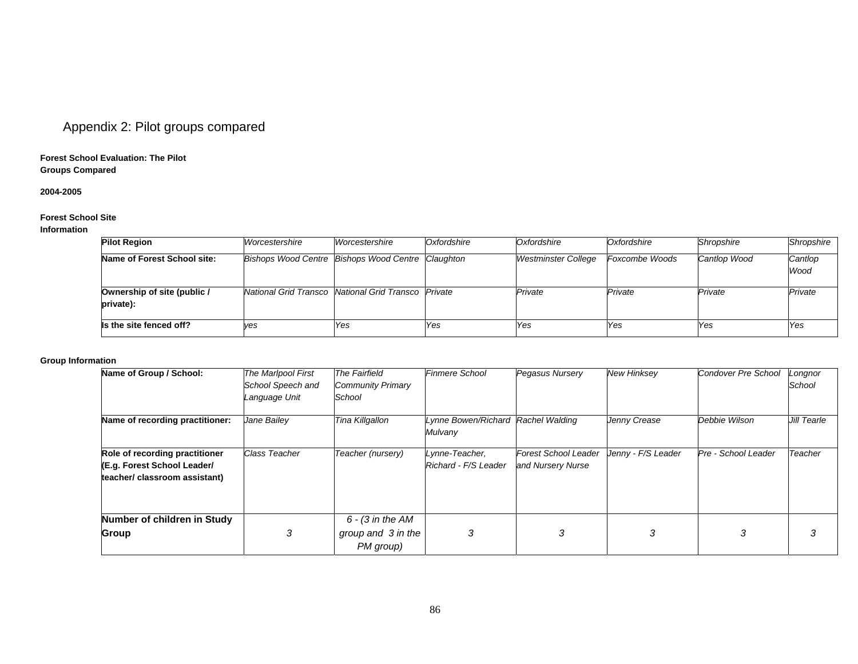## Appendix 2: Pilot groups compared

#### **Forest School Evaluation: The Pilot Groups Compared**

#### **2004-2005**

#### **Forest School Site**

#### **Information**

| <b>Pilot Region</b>                      | Worcestershire                                       | Worcestershire | Oxfordshire | Oxfordshire                | Oxfordshire           | Shropshire   | Shropshire      |
|------------------------------------------|------------------------------------------------------|----------------|-------------|----------------------------|-----------------------|--------------|-----------------|
| Name of Forest School site:              | Bishops Wood Centre Bishops Wood Centre Claughton    |                |             | <b>Westminster College</b> | <b>Foxcombe Woods</b> | Cantlop Wood | Cantlop<br>Wood |
| Ownership of site (public /<br>private): | National Grid Transco National Grid Transco IPrivate |                |             | Private                    | Private               | Private      | Private         |
| Is the site fenced off?                  | ves                                                  | Yes            | <b>Yes</b>  | Yes                        | Yes                   | Yes          | Yes             |

#### **Group Information**

| Name of Group / School:         | The Marlpool First   | <b>The Fairfield</b>     | <b>Finmere School</b>          | Pegasus Nursery             | <b>New Hinksey</b> | Condover Pre School | Longnor     |
|---------------------------------|----------------------|--------------------------|--------------------------------|-----------------------------|--------------------|---------------------|-------------|
|                                 | School Speech and    | <b>Community Primary</b> |                                |                             |                    |                     | School      |
|                                 | Language Unit        | School                   |                                |                             |                    |                     |             |
| Name of recording practitioner: | Jane Bailey          | Tina Killgallon          | Lynne Bowen/Richard<br>Mulvany | Rachel Walding              | Jenny Crease       | Debbie Wilson       | Jill Tearle |
| Role of recording practitioner  | <b>Class Teacher</b> | Teacher (nursery)        | Lynne-Teacher,                 | <b>Forest School Leader</b> | Jenny - F/S Leader | Pre - School Leader | Teacher     |
| (E.g. Forest School Leader/     |                      |                          | Richard - F/S Leader           | and Nursery Nurse           |                    |                     |             |
| teacher/ classroom assistant)   |                      |                          |                                |                             |                    |                     |             |
| Number of children in Study     |                      | $6 - (3)$ in the AM      |                                |                             |                    |                     |             |
| Group                           | ۰5.                  | group and 3 in the       | 3                              | 3                           | З                  | 3                   | З           |
|                                 |                      | PM group)                |                                |                             |                    |                     |             |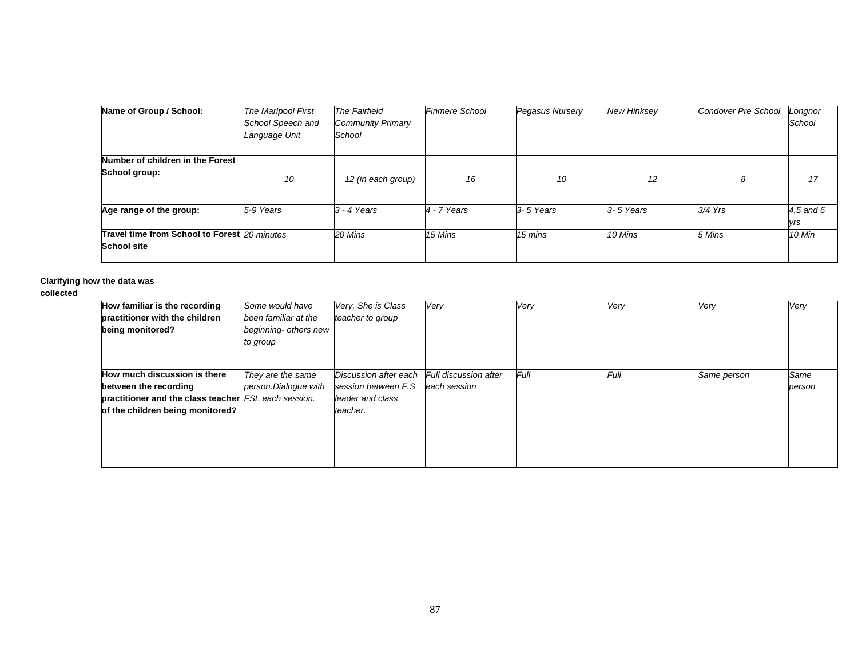| Name of Group / School:                                            | The Marlpool First<br>School Speech and<br>Language Unit | <b>The Fairfield</b><br><b>Community Primary</b><br>School | <b>Finmere School</b> | Pegasus Nursery | <b>New Hinksey</b> | Condover Pre School | Longnor<br>School |
|--------------------------------------------------------------------|----------------------------------------------------------|------------------------------------------------------------|-----------------------|-----------------|--------------------|---------------------|-------------------|
| Number of children in the Forest<br>School group:                  | 10                                                       | 12 (in each group)                                         | 16                    | 10              | 12                 | 8                   | 17                |
| Age range of the group:                                            | 5-9 Years                                                | $3 - 4$ Years                                              | $4 - 7$ Years         | 3-5 Years       | $3 - 5$ Years      | $3/4$ Yrs           | 4,5 and 6<br>yrs  |
| Travel time from School to Forest 20 minutes<br><b>School site</b> |                                                          | 20 Mins                                                    | 15 Mins               | 15 mins         | 10 Mins            | 5 Mins              | 10 Min            |

#### **Clarifying how the data was**

#### **collected**

| How familiar is the recording<br>practitioner with the children<br>being monitored?                                                               | Some would have<br>been familiar at the<br>beginning- others new<br>to group | Very, She is Class<br>teacher to group                                        | Very                                  | Very | Very | Very        | Very           |
|---------------------------------------------------------------------------------------------------------------------------------------------------|------------------------------------------------------------------------------|-------------------------------------------------------------------------------|---------------------------------------|------|------|-------------|----------------|
| How much discussion is there<br>between the recording<br>practitioner and the class teacher FSL each session.<br>of the children being monitored? | They are the same<br>person.Dialogue with                                    | Discussion after each<br>session between F.S.<br>leader and class<br>teacher. | Full discussion after<br>each session | Full | Full | Same person | Same<br>person |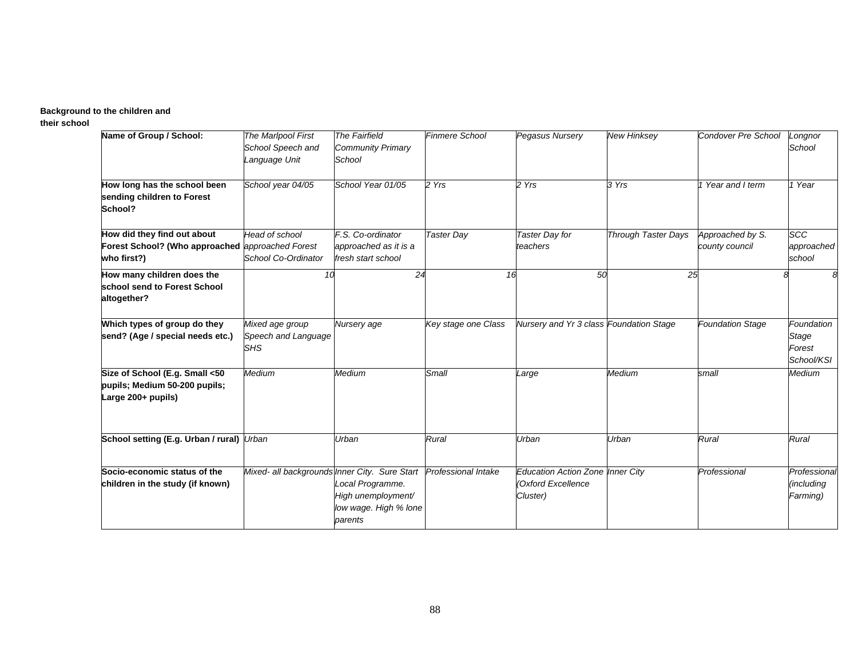#### **Background to the children and**

**their school**

| Name of Group / School:                                                                        | The Marlpool First<br>School Speech and<br>Language Unit | <b>The Fairfield</b><br><b>Community Primary</b><br>School                 | <b>Finmere School</b> | Pegasus Nursery                                                           | <b>New Hinksey</b>         | Condover Pre School                | Longnor<br>School                           |  |
|------------------------------------------------------------------------------------------------|----------------------------------------------------------|----------------------------------------------------------------------------|-----------------------|---------------------------------------------------------------------------|----------------------------|------------------------------------|---------------------------------------------|--|
| How long has the school been<br>sending children to Forest<br>School?                          | School year 04/05                                        | School Year 01/05                                                          | 2 Yrs                 | 2 Yrs                                                                     | 3 Yrs                      | 1 Year and I term                  | 1 Year                                      |  |
| How did they find out about<br>Forest School? (Who approached approached Forest<br>who first?) | <b>Head of school</b><br>School Co-Ordinator             | F.S. Co-ordinator<br>approached as it is a<br>fresh start school           | <b>Taster Day</b>     | Taster Day for<br>teachers                                                | <b>Through Taster Days</b> | Approached by S.<br>county council | SCC<br>approached<br>school                 |  |
| How many children does the<br>school send to Forest School<br>altogether?                      | 10                                                       | 24                                                                         | 16                    | 50                                                                        | 25                         |                                    |                                             |  |
| Which types of group do they<br>send? (Age / special needs etc.)                               | Mixed age group<br>Speech and Language<br><b>SHS</b>     | Nursery age                                                                | Key stage one Class   | Nursery and Yr 3 class Foundation Stage                                   |                            | <b>Foundation Stage</b>            | Foundation<br>Stage<br>Forest<br>School/KSI |  |
| Size of School (E.g. Small <50<br>pupils; Medium 50-200 pupils;<br>Large 200+ pupils)          | Medium                                                   | Medium                                                                     | Small                 | Large                                                                     | Medium                     | small                              | Medium                                      |  |
| School setting (E.g. Urban / rural) Urban                                                      |                                                          | Urban                                                                      | Rural                 | Urban                                                                     | Urban                      | Rural                              | Rural                                       |  |
| Socio-economic status of the<br>children in the study (if known)                               | Mixed- all backgrounds Inner City. Sure Start            | Local Programme.<br>High unemployment/<br>low wage. High % lone<br>parents | Professional Intake   | <b>Education Action Zone Inner City</b><br>(Oxford Excellence<br>Cluster) |                            | Professional                       | Professional<br>(including<br>Farming)      |  |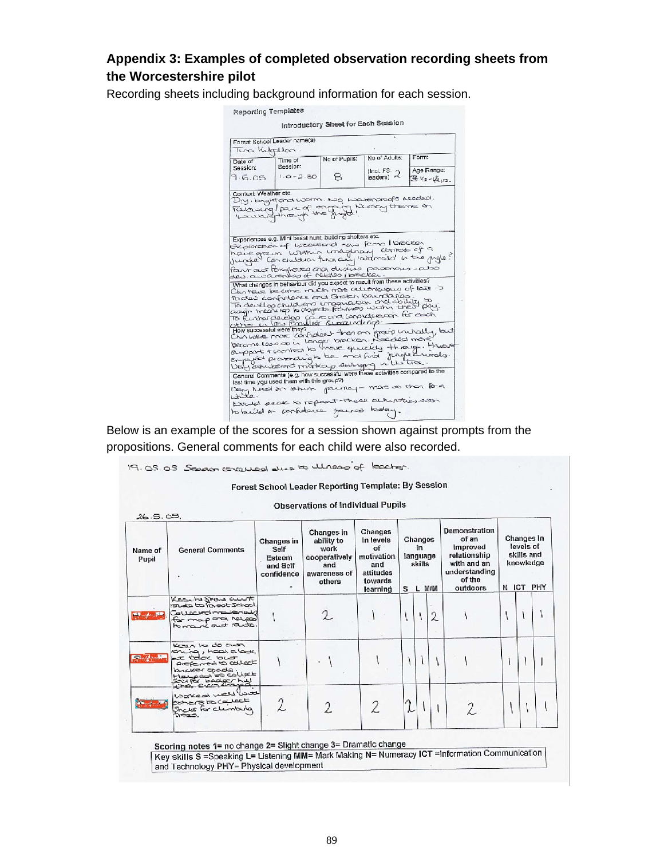### **Appendix 3: Examples of completed observation recording sheets from the Worcestershire pilot**

Recording sheets including background information for each session.

|                                         | Forest School Leader name(s)                                                                                                                                                                                                                                                                                                                                   |               |                                           |                 |
|-----------------------------------------|----------------------------------------------------------------------------------------------------------------------------------------------------------------------------------------------------------------------------------------------------------------------------------------------------------------------------------------------------------------|---------------|-------------------------------------------|-----------------|
| Tung Kulopulan                          |                                                                                                                                                                                                                                                                                                                                                                | No of Pupils: | No of Adults:                             | Form:           |
| Date of<br>Session:                     | Time of<br>Session:                                                                                                                                                                                                                                                                                                                                            |               |                                           | Age Range:      |
| 9.6.05                                  | $1.0 - 2.30$                                                                                                                                                                                                                                                                                                                                                   | s             | (Incl. FS. $\gamma$<br>$leaders)$ $\prec$ | $3/2 - 4/2$ 15. |
|                                         | Exploration of listenational news ferms I loncation<br>have grown within unaginary contat of a<br>Part out Porchores and diviso povenous-abo<br>What changes in behaviour did you expect to result from these activities?                                                                                                                                      |               |                                           |                 |
|                                         | Chance become racis more adutations of late $\rightarrow$                                                                                                                                                                                                                                                                                                      |               |                                           |                 |
|                                         | To develop chuld leno imaginator and doublits to<br>To funding develop can contain for each<br>other to loss conclusion survey individual                                                                                                                                                                                                                      |               |                                           |                 |
| to des confidence and Shorth baundaries | then awwassing more least of about the part on group unchally, but<br>become least op in longer brocken. Neardled more<br>Support + worked to have quickly through. However<br>emprison proporting to be and find jungle driveds.<br>Very enverent markey surroung in the tree.<br>General Comments (e.g. how successful were these activities compared to the |               |                                           |                 |

Below is an example of the scores for a session shown against prompts from the propositions. General comments for each child were also recorded.

19.05.05 Sesan conquest due to Ulness of tocher.

#### Forest School Leader Reporting Template: By Session

| Name of<br>Pupil | <b>General Comments</b>                                                                                                                        | Changes<br>Changes in<br>Changes<br>in levels<br>ability to<br>Changes in<br>of<br>in<br>work<br>Self<br>motivation<br>language<br>cooperatively<br>Esteem<br>skills<br>and<br>and<br>and Self<br>attitudes<br>awareness of<br>confidence<br>towards<br>others<br>s.<br>learning |  | L M/M | Demonstration<br>of an<br>improved<br>relationship<br>with and an<br>understanding<br>of the<br>outdoors | Changes in<br>levels of<br>skills and<br>knowledge<br>N ICT<br>PHY |  |  |  |  |
|------------------|------------------------------------------------------------------------------------------------------------------------------------------------|----------------------------------------------------------------------------------------------------------------------------------------------------------------------------------------------------------------------------------------------------------------------------------|--|-------|----------------------------------------------------------------------------------------------------------|--------------------------------------------------------------------|--|--|--|--|
|                  | Kearte Stars ausst<br>Causcledmakenaug<br>for map ord helped                                                                                   |                                                                                                                                                                                                                                                                                  |  |       |                                                                                                          | $\overline{2}$                                                     |  |  |  |  |
|                  | Kenn to do anon<br>thing, hook about<br>at today to ust<br>Proferred to callect<br>prover spocia<br>بالمسهمون نحت تمالهيد<br>Soutor badger his |                                                                                                                                                                                                                                                                                  |  |       |                                                                                                          |                                                                    |  |  |  |  |
|                  | Worked well you<br>depende po cervoca<br>Shouts for clumbing<br>0023                                                                           |                                                                                                                                                                                                                                                                                  |  | 2     | L                                                                                                        |                                                                    |  |  |  |  |

Scoring notes 1= no change 2= Slight change 3= Dramatic change<br>Key skills S =Speaking L= Listening MM= Mark Making N= Numeracy ICT =Information Communication and Technology PHY= Physical development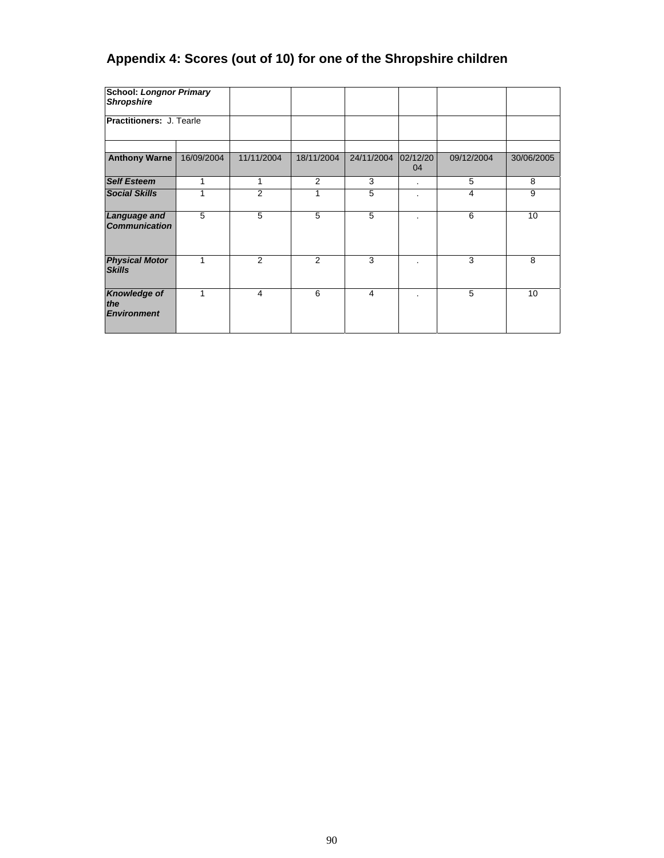## **Appendix 4: Scores (out of 10) for one of the Shropshire children**

| <b>School: Longnor Primary</b><br><b>Shropshire</b> |            |            |            |            |                |                |            |
|-----------------------------------------------------|------------|------------|------------|------------|----------------|----------------|------------|
| <b>Practitioners: J. Tearle</b>                     |            |            |            |            |                |                |            |
| <b>Anthony Warne</b>                                | 16/09/2004 | 11/11/2004 | 18/11/2004 | 24/11/2004 | 02/12/20<br>04 | 09/12/2004     | 30/06/2005 |
| <b>Self Esteem</b>                                  | 1          | 1          | 2          | 3          | $\blacksquare$ | 5              | 8          |
| <b>Social Skills</b>                                | 1          | 2          |            | 5          | ٠              | $\overline{4}$ | 9          |
| Language and<br><b>Communication</b>                | 5          | 5          | 5          | 5          |                | 6              | 10         |
| <b>Physical Motor</b><br><b>Skills</b>              | 1          | 2          | 2          | 3          |                | 3              | 8          |
| <b>Knowledge of</b><br>the<br><b>Environment</b>    | 1          | 4          | 6          | 4          |                | 5              | 10         |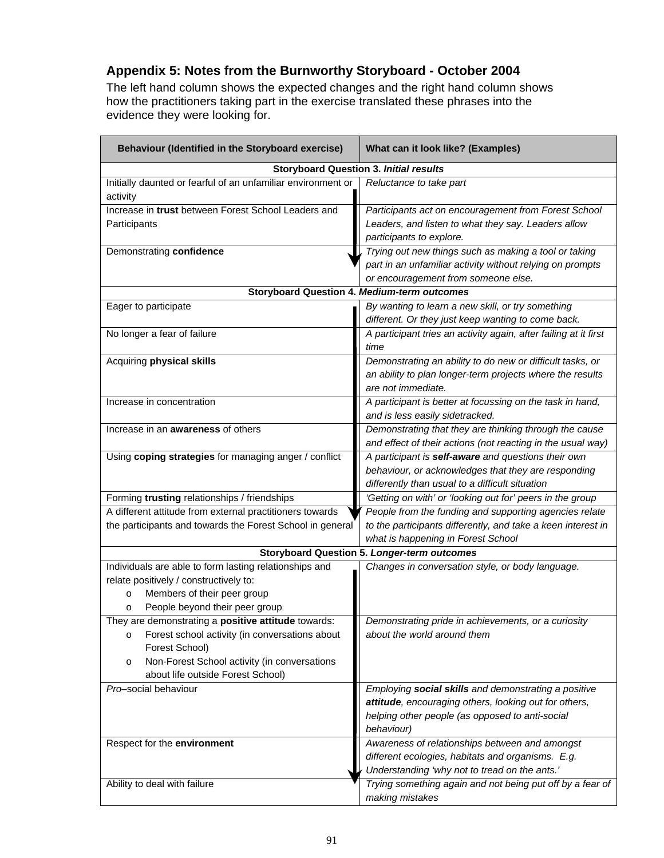## **Appendix 5: Notes from the Burnworthy Storyboard - October 2004**

The left hand column shows the expected changes and the right hand column shows how the practitioners taking part in the exercise translated these phrases into the evidence they were looking for.

| Behaviour (Identified in the Storyboard exercise)                                                                                                                                                                            | What can it look like? (Examples)                                                                                                                                              |  |  |  |  |  |
|------------------------------------------------------------------------------------------------------------------------------------------------------------------------------------------------------------------------------|--------------------------------------------------------------------------------------------------------------------------------------------------------------------------------|--|--|--|--|--|
|                                                                                                                                                                                                                              | <b>Storyboard Question 3. Initial results</b>                                                                                                                                  |  |  |  |  |  |
| Initially daunted or fearful of an unfamiliar environment or<br>activity                                                                                                                                                     | Reluctance to take part                                                                                                                                                        |  |  |  |  |  |
| Increase in trust between Forest School Leaders and<br>Participants                                                                                                                                                          | Participants act on encouragement from Forest School<br>Leaders, and listen to what they say. Leaders allow<br>participants to explore.                                        |  |  |  |  |  |
| Demonstrating confidence                                                                                                                                                                                                     | Trying out new things such as making a tool or taking<br>part in an unfamiliar activity without relying on prompts<br>or encouragement from someone else.                      |  |  |  |  |  |
|                                                                                                                                                                                                                              | <b>Storyboard Question 4. Medium-term outcomes</b>                                                                                                                             |  |  |  |  |  |
| Eager to participate                                                                                                                                                                                                         | By wanting to learn a new skill, or try something<br>different. Or they just keep wanting to come back.                                                                        |  |  |  |  |  |
| No longer a fear of failure                                                                                                                                                                                                  | A participant tries an activity again, after failing at it first<br>time                                                                                                       |  |  |  |  |  |
| Acquiring physical skills                                                                                                                                                                                                    | Demonstrating an ability to do new or difficult tasks, or<br>an ability to plan longer-term projects where the results<br>are not immediate.                                   |  |  |  |  |  |
| Increase in concentration                                                                                                                                                                                                    | A participant is better at focussing on the task in hand,<br>and is less easily sidetracked.                                                                                   |  |  |  |  |  |
| Increase in an <b>awareness</b> of others                                                                                                                                                                                    | Demonstrating that they are thinking through the cause<br>and effect of their actions (not reacting in the usual way)                                                          |  |  |  |  |  |
| Using coping strategies for managing anger / conflict                                                                                                                                                                        | A participant is self-aware and questions their own<br>behaviour, or acknowledges that they are responding<br>differently than usual to a difficult situation                  |  |  |  |  |  |
| Forming trusting relationships / friendships                                                                                                                                                                                 | 'Getting on with' or 'looking out for' peers in the group                                                                                                                      |  |  |  |  |  |
| A different attitude from external practitioners towards<br>the participants and towards the Forest School in general                                                                                                        | People from the funding and supporting agencies relate<br>to the participants differently, and take a keen interest in<br>what is happening in Forest School                   |  |  |  |  |  |
|                                                                                                                                                                                                                              | <b>Storyboard Question 5. Longer-term outcomes</b>                                                                                                                             |  |  |  |  |  |
| Individuals are able to form lasting relationships and<br>relate positively / constructively to:<br>Members of their peer group<br>$\circ$<br>People beyond their peer group<br>O                                            | Changes in conversation style, or body language.                                                                                                                               |  |  |  |  |  |
| They are demonstrating a positive attitude towards:<br>Forest school activity (in conversations about<br>O<br>Forest School)<br>Non-Forest School activity (in conversations<br>$\circ$<br>about life outside Forest School) | Demonstrating pride in achievements, or a curiosity<br>about the world around them                                                                                             |  |  |  |  |  |
| Pro-social behaviour                                                                                                                                                                                                         | Employing social skills and demonstrating a positive<br>attitude, encouraging others, looking out for others,<br>helping other people (as opposed to anti-social<br>behaviour) |  |  |  |  |  |
| Respect for the environment                                                                                                                                                                                                  | Awareness of relationships between and amongst<br>different ecologies, habitats and organisms. E.g.<br>Understanding 'why not to tread on the ants.'                           |  |  |  |  |  |
| Ability to deal with failure                                                                                                                                                                                                 | Trying something again and not being put off by a fear of<br>making mistakes                                                                                                   |  |  |  |  |  |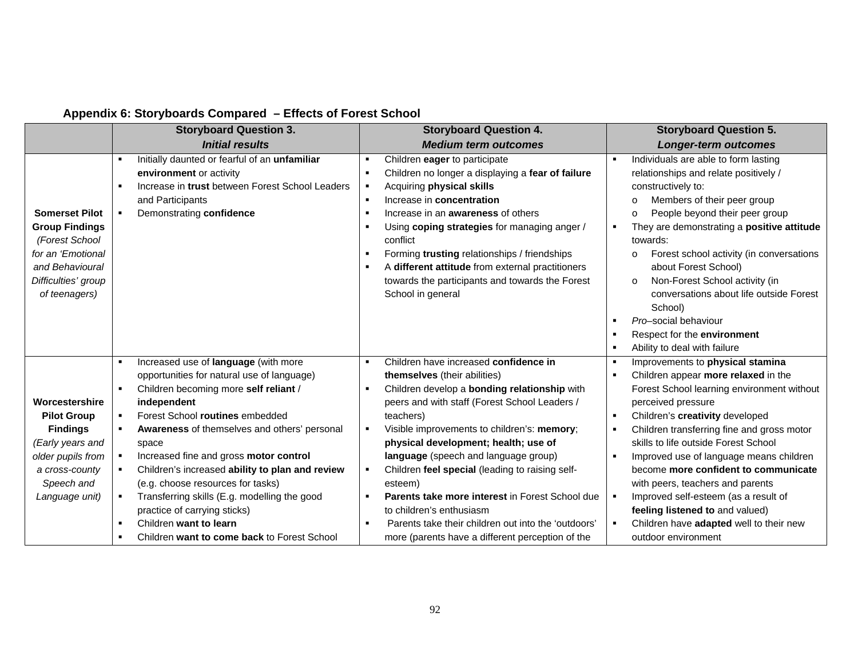## **Appendix 6: Storyboards Compared – Effects of Forest School**

|                       | <b>Storyboard Question 3.</b>                   |   | <b>Storyboard Question 4.</b>                       | <b>Storyboard Question 5.</b>                       |
|-----------------------|-------------------------------------------------|---|-----------------------------------------------------|-----------------------------------------------------|
|                       | <b>Initial results</b>                          |   | <b>Medium term outcomes</b>                         | <b>Longer-term outcomes</b>                         |
|                       | Initially daunted or fearful of an unfamiliar   |   | Children eager to participate                       | Individuals are able to form lasting                |
|                       | environment or activity                         |   | Children no longer a displaying a fear of failure   | relationships and relate positively /               |
|                       | Increase in trust between Forest School Leaders |   | Acquiring physical skills                           | constructively to:                                  |
|                       | and Participants                                |   | Increase in concentration                           | Members of their peer group<br>$\circ$              |
| <b>Somerset Pilot</b> | Demonstrating confidence                        |   | Increase in an <b>awareness</b> of others           | People beyond their peer group<br>$\circ$           |
| <b>Group Findings</b> |                                                 |   | Using coping strategies for managing anger /        | They are demonstrating a positive attitude          |
| (Forest School        |                                                 |   | conflict                                            | towards:                                            |
| for an 'Emotional     |                                                 |   | Forming trusting relationships / friendships        | Forest school activity (in conversations<br>$\circ$ |
| and Behavioural       |                                                 |   | A different attitude from external practitioners    | about Forest School)                                |
| Difficulties' group   |                                                 |   | towards the participants and towards the Forest     | Non-Forest School activity (in<br>$\circ$           |
| of teenagers)         |                                                 |   | School in general                                   | conversations about life outside Forest             |
|                       |                                                 |   |                                                     | School)                                             |
|                       |                                                 |   |                                                     | Pro-social behaviour                                |
|                       |                                                 |   |                                                     | Respect for the environment                         |
|                       |                                                 |   |                                                     | Ability to deal with failure                        |
|                       | Increased use of language (with more            |   | Children have increased confidence in               | Improvements to physical stamina                    |
|                       | opportunities for natural use of language)      |   | themselves (their abilities)                        | Children appear more relaxed in the                 |
|                       | Children becoming more self reliant /           |   | Children develop a bonding relationship with        | Forest School learning environment without          |
| Worcestershire        | independent                                     |   | peers and with staff (Forest School Leaders /       | perceived pressure                                  |
| <b>Pilot Group</b>    | Forest School routines embedded                 |   | teachers)                                           | Children's creativity developed                     |
| <b>Findings</b>       | Awareness of themselves and others' personal    | ٠ | Visible improvements to children's: memory;         | Children transferring fine and gross motor          |
| (Early years and      | space                                           |   | physical development; health; use of                | skills to life outside Forest School                |
| older pupils from     | Increased fine and gross motor control          |   | language (speech and language group)                | Improved use of language means children             |
| a cross-county        | Children's increased ability to plan and review |   | Children feel special (leading to raising self-     | become more confident to communicate                |
| Speech and            | (e.g. choose resources for tasks)               |   | esteem)                                             | with peers, teachers and parents                    |
| Language unit)        | Transferring skills (E.g. modelling the good    |   | Parents take more interest in Forest School due     | Improved self-esteem (as a result of                |
|                       | practice of carrying sticks)                    |   | to children's enthusiasm                            | feeling listened to and valued)                     |
|                       | Children want to learn                          |   | Parents take their children out into the 'outdoors' | Children have adapted well to their new             |
|                       | Children want to come back to Forest School     |   | more (parents have a different perception of the    | outdoor environment                                 |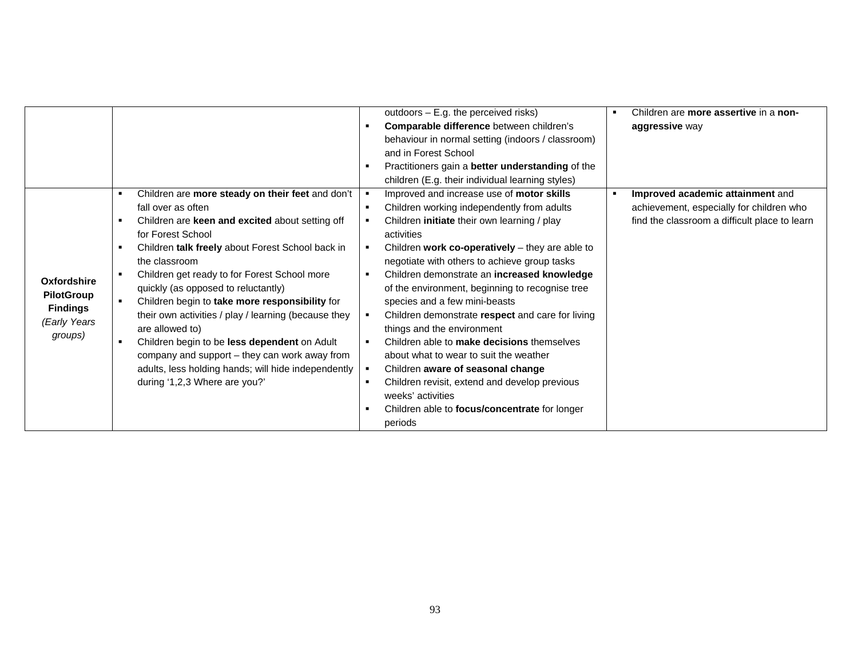|                   |                                                      | outdoors - E.g. the perceived risks)                 | Children are more assertive in a non-         |
|-------------------|------------------------------------------------------|------------------------------------------------------|-----------------------------------------------|
|                   |                                                      | Comparable difference between children's             | aggressive way                                |
|                   |                                                      | behaviour in normal setting (indoors / classroom)    |                                               |
|                   |                                                      | and in Forest School                                 |                                               |
|                   |                                                      | Practitioners gain a better understanding of the     |                                               |
|                   |                                                      | children (E.g. their individual learning styles)     |                                               |
|                   | Children are more steady on their feet and don't     | Improved and increase use of motor skills            | Improved academic attainment and              |
|                   | fall over as often                                   | Children working independently from adults           | achievement, especially for children who      |
|                   | Children are keen and excited about setting off      | Children initiate their own learning / play          | find the classroom a difficult place to learn |
|                   | for Forest School                                    | activities                                           |                                               |
|                   | Children talk freely about Forest School back in     | Children work co-operatively $-$ they are able to    |                                               |
|                   | the classroom                                        | negotiate with others to achieve group tasks         |                                               |
| Oxfordshire       | Children get ready to for Forest School more         | Children demonstrate an increased knowledge          |                                               |
| <b>PilotGroup</b> | quickly (as opposed to reluctantly)                  | of the environment, beginning to recognise tree      |                                               |
| <b>Findings</b>   | Children begin to take more responsibility for       | species and a few mini-beasts                        |                                               |
| (Early Years      | their own activities / play / learning (because they | Children demonstrate respect and care for living     |                                               |
| groups)           | are allowed to)                                      | things and the environment                           |                                               |
|                   | Children begin to be less dependent on Adult         | Children able to make decisions themselves           |                                               |
|                   | company and support - they can work away from        | about what to wear to suit the weather               |                                               |
|                   | adults, less holding hands; will hide independently  | Children aware of seasonal change                    |                                               |
|                   | during '1,2,3 Where are you?'                        | Children revisit, extend and develop previous        |                                               |
|                   |                                                      | weeks' activities                                    |                                               |
|                   |                                                      | Children able to <b>focus/concentrate</b> for longer |                                               |
|                   |                                                      | periods                                              |                                               |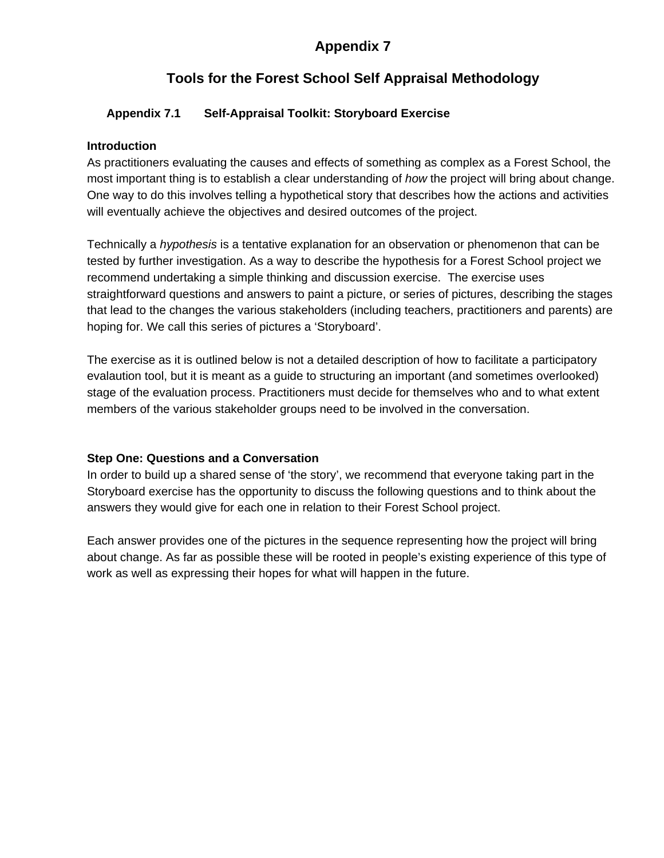## **Appendix 7**

## **Tools for the Forest School Self Appraisal Methodology**

#### **Appendix 7.1 Self-Appraisal Toolkit: Storyboard Exercise**

#### **Introduction**

As practitioners evaluating the causes and effects of something as complex as a Forest School, the most important thing is to establish a clear understanding of *how* the project will bring about change. One way to do this involves telling a hypothetical story that describes how the actions and activities will eventually achieve the objectives and desired outcomes of the project.

Technically a *hypothesis* is a tentative explanation for an observation or phenomenon that can be tested by further investigation. As a way to describe the hypothesis for a Forest School project we recommend undertaking a simple thinking and discussion exercise. The exercise uses straightforward questions and answers to paint a picture, or series of pictures, describing the stages that lead to the changes the various stakeholders (including teachers, practitioners and parents) are hoping for. We call this series of pictures a 'Storyboard'.

The exercise as it is outlined below is not a detailed description of how to facilitate a participatory evalaution tool, but it is meant as a guide to structuring an important (and sometimes overlooked) stage of the evaluation process. Practitioners must decide for themselves who and to what extent members of the various stakeholder groups need to be involved in the conversation.

#### **Step One: Questions and a Conversation**

In order to build up a shared sense of 'the story', we recommend that everyone taking part in the Storyboard exercise has the opportunity to discuss the following questions and to think about the answers they would give for each one in relation to their Forest School project.

Each answer provides one of the pictures in the sequence representing how the project will bring about change. As far as possible these will be rooted in people's existing experience of this type of work as well as expressing their hopes for what will happen in the future.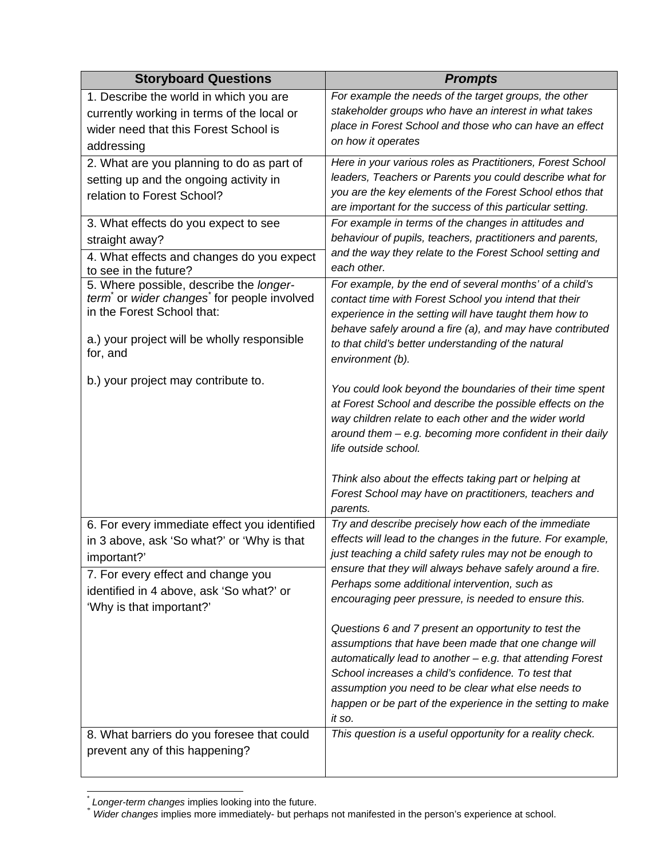| <b>Storyboard Questions</b>                                        | <b>Prompts</b>                                                                                                          |
|--------------------------------------------------------------------|-------------------------------------------------------------------------------------------------------------------------|
| 1. Describe the world in which you are                             | For example the needs of the target groups, the other                                                                   |
| currently working in terms of the local or                         | stakeholder groups who have an interest in what takes                                                                   |
| wider need that this Forest School is                              | place in Forest School and those who can have an effect                                                                 |
| addressing                                                         | on how it operates                                                                                                      |
| 2. What are you planning to do as part of                          | Here in your various roles as Practitioners, Forest School                                                              |
| setting up and the ongoing activity in                             | leaders, Teachers or Parents you could describe what for                                                                |
| relation to Forest School?                                         | you are the key elements of the Forest School ethos that                                                                |
|                                                                    | are important for the success of this particular setting.                                                               |
| 3. What effects do you expect to see                               | For example in terms of the changes in attitudes and<br>behaviour of pupils, teachers, practitioners and parents,       |
| straight away?                                                     | and the way they relate to the Forest School setting and                                                                |
| 4. What effects and changes do you expect<br>to see in the future? | each other.                                                                                                             |
| 5. Where possible, describe the longer-                            | For example, by the end of several months' of a child's                                                                 |
| term or wider changes for people involved                          | contact time with Forest School you intend that their                                                                   |
| in the Forest School that:                                         | experience in the setting will have taught them how to                                                                  |
|                                                                    | behave safely around a fire (a), and may have contributed                                                               |
| a.) your project will be wholly responsible<br>for, and            | to that child's better understanding of the natural                                                                     |
|                                                                    | environment (b).                                                                                                        |
| b.) your project may contribute to.                                |                                                                                                                         |
|                                                                    | You could look beyond the boundaries of their time spent<br>at Forest School and describe the possible effects on the   |
|                                                                    | way children relate to each other and the wider world                                                                   |
|                                                                    | around them - e.g. becoming more confident in their daily                                                               |
|                                                                    | life outside school.                                                                                                    |
|                                                                    |                                                                                                                         |
|                                                                    | Think also about the effects taking part or helping at                                                                  |
|                                                                    | Forest School may have on practitioners, teachers and                                                                   |
|                                                                    | parents.                                                                                                                |
| 6. For every immediate effect you identified                       | Try and describe precisely how each of the immediate                                                                    |
| in 3 above, ask 'So what?' or 'Why is that                         | effects will lead to the changes in the future. For example,<br>just teaching a child safety rules may not be enough to |
| important?'                                                        | ensure that they will always behave safely around a fire.                                                               |
| 7. For every effect and change you                                 | Perhaps some additional intervention, such as                                                                           |
| identified in 4 above, ask 'So what?' or                           | encouraging peer pressure, is needed to ensure this.                                                                    |
| 'Why is that important?'                                           |                                                                                                                         |
|                                                                    | Questions 6 and 7 present an opportunity to test the                                                                    |
|                                                                    | assumptions that have been made that one change will                                                                    |
|                                                                    | automatically lead to another - e.g. that attending Forest                                                              |
|                                                                    | School increases a child's confidence. To test that                                                                     |
|                                                                    | assumption you need to be clear what else needs to<br>happen or be part of the experience in the setting to make        |
|                                                                    | it so.                                                                                                                  |
| 8. What barriers do you foresee that could                         | This question is a useful opportunity for a reality check.                                                              |
| prevent any of this happening?                                     |                                                                                                                         |
|                                                                    |                                                                                                                         |

 $\overline{a}$ 

 $\dot{ }$  *Longer-term changes* implies looking into the future.<br> $\dot{ }$  *Wider changes* implies more immediately- but perhaps not manifested in the person's experience at school.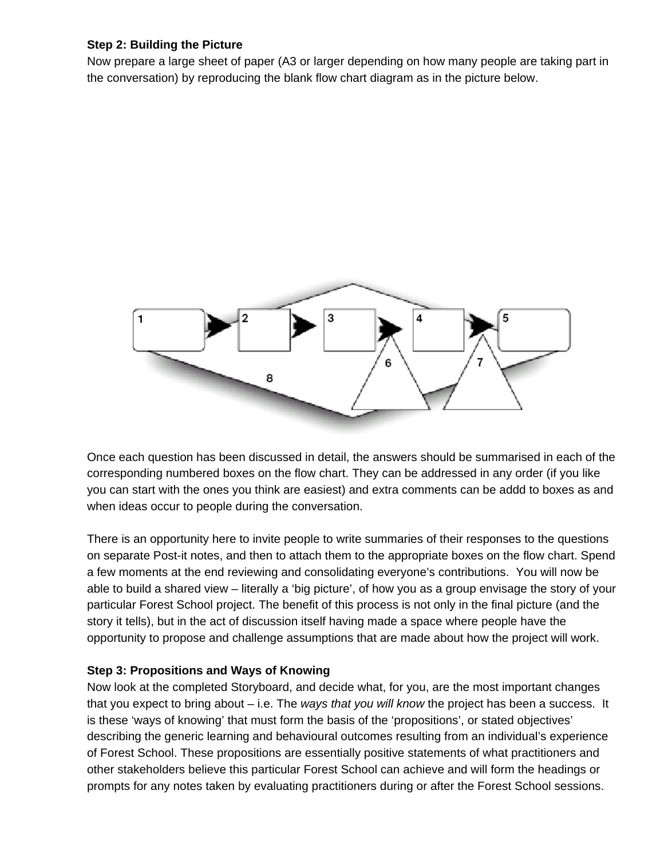#### **Step 2: Building the Picture**

Now prepare a large sheet of paper (A3 or larger depending on how many people are taking part in the conversation) by reproducing the blank flow chart diagram as in the picture below.



Once each question has been discussed in detail, the answers should be summarised in each of the corresponding numbered boxes on the flow chart. They can be addressed in any order (if you like you can start with the ones you think are easiest) and extra comments can be addd to boxes as and when ideas occur to people during the conversation.

There is an opportunity here to invite people to write summaries of their responses to the questions on separate Post-it notes, and then to attach them to the appropriate boxes on the flow chart. Spend a few moments at the end reviewing and consolidating everyone's contributions. You will now be able to build a shared view – literally a 'big picture', of how you as a group envisage the story of your particular Forest School project. The benefit of this process is not only in the final picture (and the story it tells), but in the act of discussion itself having made a space where people have the opportunity to propose and challenge assumptions that are made about how the project will work.

#### **Step 3: Propositions and Ways of Knowing**

Now look at the completed Storyboard, and decide what, for you, are the most important changes that you expect to bring about – i.e. The *ways that you will know* the project has been a success. It is these 'ways of knowing' that must form the basis of the 'propositions', or stated objectives' describing the generic learning and behavioural outcomes resulting from an individual's experience of Forest School. These propositions are essentially positive statements of what practitioners and other stakeholders believe this particular Forest School can achieve and will form the headings or prompts for any notes taken by evaluating practitioners during or after the Forest School sessions.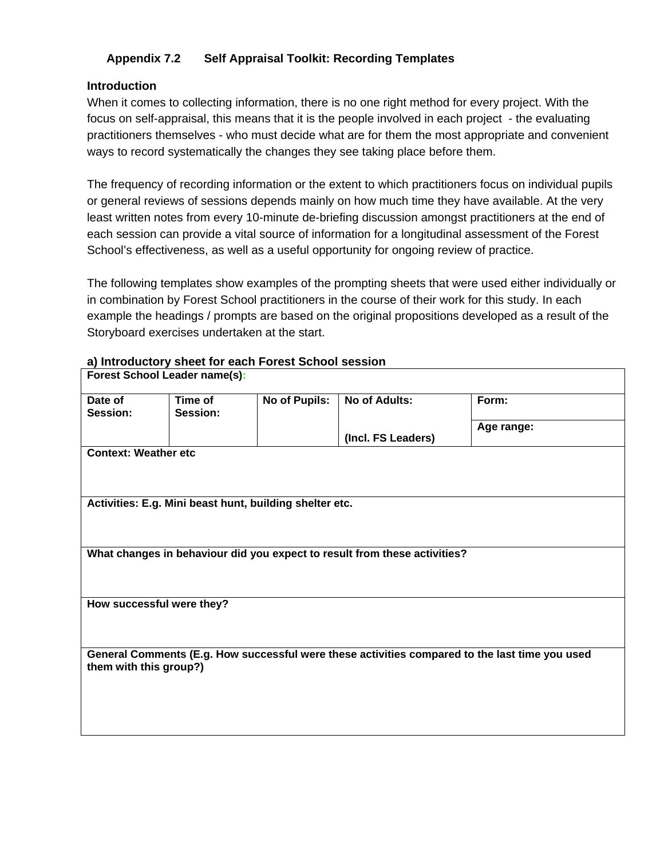#### **Appendix 7.2 Self Appraisal Toolkit: Recording Templates**

#### **Introduction**

When it comes to collecting information, there is no one right method for every project. With the focus on self-appraisal, this means that it is the people involved in each project - the evaluating practitioners themselves - who must decide what are for them the most appropriate and convenient ways to record systematically the changes they see taking place before them.

The frequency of recording information or the extent to which practitioners focus on individual pupils or general reviews of sessions depends mainly on how much time they have available. At the very least written notes from every 10-minute de-briefing discussion amongst practitioners at the end of each session can provide a vital source of information for a longitudinal assessment of the Forest School's effectiveness, as well as a useful opportunity for ongoing review of practice.

The following templates show examples of the prompting sheets that were used either individually or in combination by Forest School practitioners in the course of their work for this study. In each example the headings / prompts are based on the original propositions developed as a result of the Storyboard exercises undertaken at the start.

## **a) Introductory sheet for each Forest School session**

| Forest School Leader name(s):                                                                  |                             |                      |                                                                                                                                      |  |  |  |  |
|------------------------------------------------------------------------------------------------|-----------------------------|----------------------|--------------------------------------------------------------------------------------------------------------------------------------|--|--|--|--|
| Time of<br>Session:                                                                            | No of Pupils:               | <b>No of Adults:</b> | Form:                                                                                                                                |  |  |  |  |
|                                                                                                |                             | (Incl. FS Leaders)   | Age range:                                                                                                                           |  |  |  |  |
|                                                                                                |                             |                      |                                                                                                                                      |  |  |  |  |
|                                                                                                |                             |                      |                                                                                                                                      |  |  |  |  |
|                                                                                                |                             |                      |                                                                                                                                      |  |  |  |  |
|                                                                                                |                             |                      |                                                                                                                                      |  |  |  |  |
|                                                                                                |                             |                      |                                                                                                                                      |  |  |  |  |
|                                                                                                |                             |                      |                                                                                                                                      |  |  |  |  |
|                                                                                                |                             |                      |                                                                                                                                      |  |  |  |  |
| How successful were they?                                                                      |                             |                      |                                                                                                                                      |  |  |  |  |
|                                                                                                |                             |                      |                                                                                                                                      |  |  |  |  |
| General Comments (E.g. How successful were these activities compared to the last time you used |                             |                      |                                                                                                                                      |  |  |  |  |
| them with this group?)                                                                         |                             |                      |                                                                                                                                      |  |  |  |  |
|                                                                                                |                             |                      |                                                                                                                                      |  |  |  |  |
|                                                                                                |                             |                      |                                                                                                                                      |  |  |  |  |
|                                                                                                | <b>Context: Weather etc</b> |                      | Activities: E.g. Mini beast hunt, building shelter etc.<br>What changes in behaviour did you expect to result from these activities? |  |  |  |  |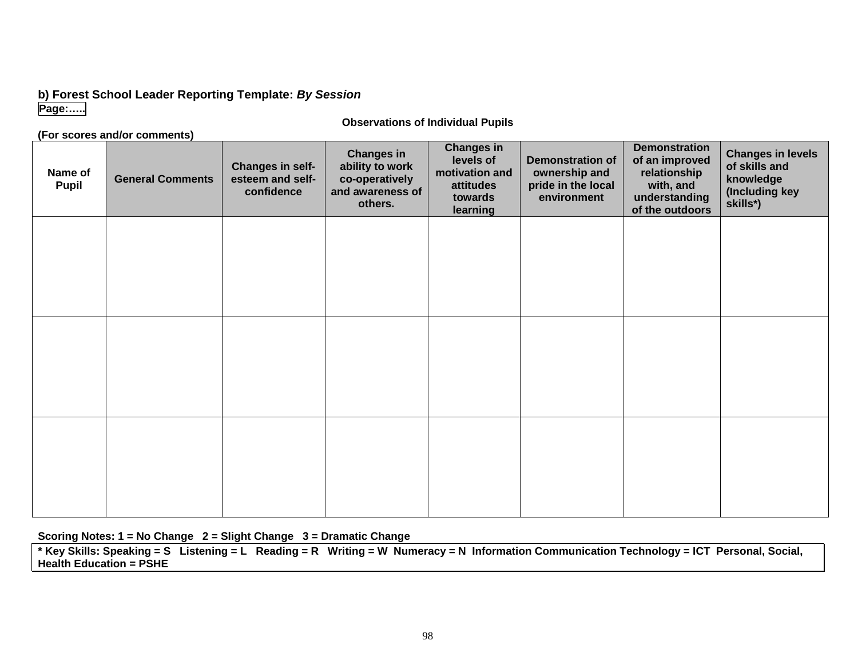#### **b) Forest School Leader Reporting Template:** *By Session* **Page:…..**

#### **Observations of Individual Pupils**

#### **(For scores and/or comments)**

#### **Name ofPupil General Comments Changes in selfesteem and selfconfidenceChanges in ability to work co-operatively and awareness ofothers.Changes in levels ofmotivation andattitudestowardslearning Demonstration ofownership and pride in the local environmentDemonstrationof an improved relationship with, and understanding of the outdoors Changes in levels of skills and knowledge (Including key skills\*)**

#### **Scoring Notes: 1 = No Change 2 = Slight Change 3 = Dramatic Change**

**\* Key Skills: Speaking = S Listening = L Reading = R Writing = W Numeracy = N Information Communication Technology = ICT Personal, Social, Health Education = PSHE**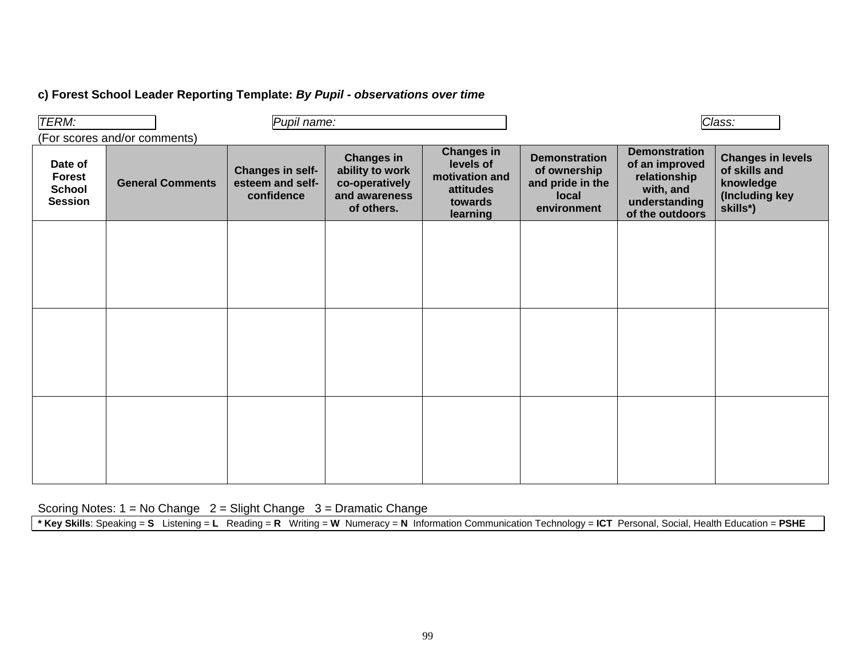#### **c) Forest School Leader Reporting Template:** *By Pupil - observations over time*

| TERM:                                                       | Pupil name:             |                                                    |                                                                                       |                                                                                      |                                                                                  | Class:                                                                                                  |                                                                                      |
|-------------------------------------------------------------|-------------------------|----------------------------------------------------|---------------------------------------------------------------------------------------|--------------------------------------------------------------------------------------|----------------------------------------------------------------------------------|---------------------------------------------------------------------------------------------------------|--------------------------------------------------------------------------------------|
| (For scores and/or comments)                                |                         |                                                    |                                                                                       |                                                                                      |                                                                                  |                                                                                                         |                                                                                      |
| Date of<br><b>Forest</b><br><b>School</b><br><b>Session</b> | <b>General Comments</b> | Changes in self-<br>esteem and self-<br>confidence | <b>Changes in</b><br>ability to work<br>co-operatively<br>and awareness<br>of others. | <b>Changes in</b><br>levels of<br>motivation and<br>attitudes<br>towards<br>learning | <b>Demonstration</b><br>of ownership<br>and pride in the<br>local<br>environment | <b>Demonstration</b><br>of an improved<br>relationship<br>with, and<br>understanding<br>of the outdoors | <b>Changes in levels</b><br>of skills and<br>knowledge<br>(Including key<br>skills*) |
|                                                             |                         |                                                    |                                                                                       |                                                                                      |                                                                                  |                                                                                                         |                                                                                      |
|                                                             |                         |                                                    |                                                                                       |                                                                                      |                                                                                  |                                                                                                         |                                                                                      |
|                                                             |                         |                                                    |                                                                                       |                                                                                      |                                                                                  |                                                                                                         |                                                                                      |
|                                                             |                         |                                                    |                                                                                       |                                                                                      |                                                                                  |                                                                                                         |                                                                                      |
|                                                             |                         |                                                    |                                                                                       |                                                                                      |                                                                                  |                                                                                                         |                                                                                      |
|                                                             |                         |                                                    |                                                                                       |                                                                                      |                                                                                  |                                                                                                         |                                                                                      |
|                                                             |                         |                                                    |                                                                                       |                                                                                      |                                                                                  |                                                                                                         |                                                                                      |
|                                                             |                         |                                                    |                                                                                       |                                                                                      |                                                                                  |                                                                                                         |                                                                                      |
|                                                             |                         |                                                    |                                                                                       |                                                                                      |                                                                                  |                                                                                                         |                                                                                      |
|                                                             |                         |                                                    |                                                                                       |                                                                                      |                                                                                  |                                                                                                         |                                                                                      |
|                                                             |                         |                                                    |                                                                                       |                                                                                      |                                                                                  |                                                                                                         |                                                                                      |
|                                                             |                         |                                                    |                                                                                       |                                                                                      |                                                                                  |                                                                                                         |                                                                                      |
|                                                             |                         |                                                    |                                                                                       |                                                                                      |                                                                                  |                                                                                                         |                                                                                      |
|                                                             |                         |                                                    |                                                                                       |                                                                                      |                                                                                  |                                                                                                         |                                                                                      |

Scoring Notes: 1 = No Change 2 = Slight Change 3 = Dramatic Change

**\* Key Skills**: Speaking = **S** Listening = **L** Reading = **R** Writing = **W** Numeracy = **N** Information Communication Technology = **ICT** Personal, Social, Health Education = **PSHE**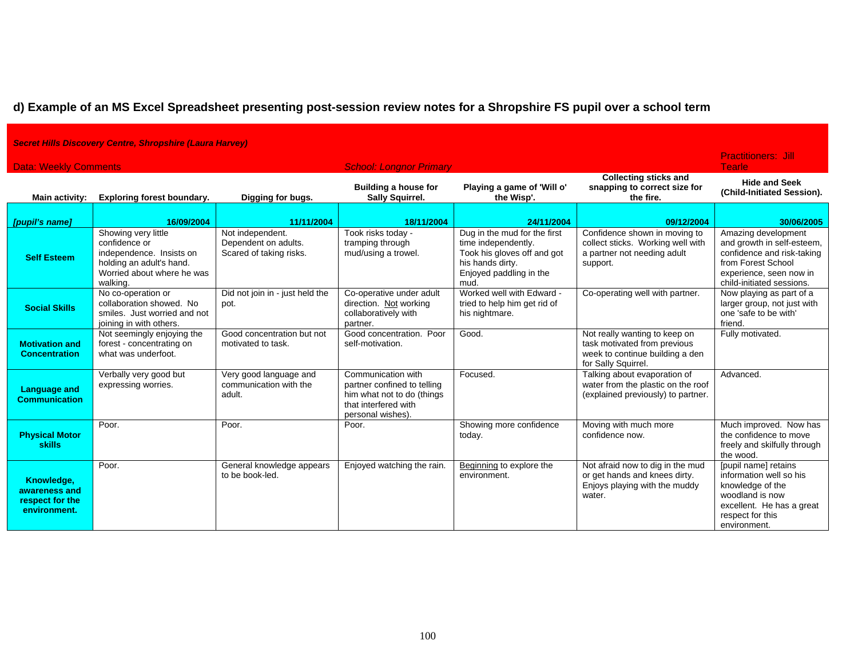## **d) Example of an MS Excel Spreadsheet presenting post-session review notes for a Shropshire FS pupil over a school term**

| <b>Secret Hills Discovery Centre, Shropshire (Laura Harvey)</b> |                                                                                                                                        |                                                                     |                                                                                                                              |                                                                                                                                           |                                                                                                                         |                                                                                                                                                               |
|-----------------------------------------------------------------|----------------------------------------------------------------------------------------------------------------------------------------|---------------------------------------------------------------------|------------------------------------------------------------------------------------------------------------------------------|-------------------------------------------------------------------------------------------------------------------------------------------|-------------------------------------------------------------------------------------------------------------------------|---------------------------------------------------------------------------------------------------------------------------------------------------------------|
| <b>Data: Weekly Comments</b><br><b>School: Longnor Primary</b>  |                                                                                                                                        |                                                                     |                                                                                                                              |                                                                                                                                           |                                                                                                                         | <b>Practitioners: Jill</b><br><b>Tearle</b>                                                                                                                   |
| Main activity:                                                  | <b>Exploring forest boundary.</b>                                                                                                      | Digging for bugs.                                                   | <b>Building a house for</b><br><b>Sally Squirrel.</b>                                                                        | Playing a game of 'Will o'<br>the Wisp'.                                                                                                  | <b>Collecting sticks and</b><br>snapping to correct size for<br>the fire.                                               | <b>Hide and Seek</b><br>(Child-Initiated Session).                                                                                                            |
| [pupil's name]                                                  | 16/09/2004                                                                                                                             | 11/11/2004                                                          | 18/11/2004                                                                                                                   | 24/11/2004                                                                                                                                | 09/12/2004                                                                                                              | 30/06/2005                                                                                                                                                    |
| <b>Self Esteem</b>                                              | Showing very little<br>confidence or<br>independence. Insists on<br>holding an adult's hand.<br>Worried about where he was<br>walking. | Not independent.<br>Dependent on adults.<br>Scared of taking risks. | Took risks today -<br>tramping through<br>mud/using a trowel.                                                                | Dug in the mud for the first<br>time independently.<br>Took his gloves off and got<br>his hands dirty.<br>Enjoyed paddling in the<br>mud. | Confidence shown in moving to<br>collect sticks. Working well with<br>a partner not needing adult<br>support.           | Amazing development<br>and growth in self-esteem,<br>confidence and risk-taking<br>from Forest School<br>experience, seen now in<br>child-initiated sessions. |
| <b>Social Skills</b>                                            | No co-operation or<br>collaboration showed. No<br>smiles. Just worried and not<br>joining in with others.                              | Did not join in - just held the<br>pot.                             | Co-operative under adult<br>direction. Not working<br>collaboratively with<br>partner.                                       | Worked well with Edward -<br>tried to help him get rid of<br>his nightmare.                                                               | Co-operating well with partner.                                                                                         | Now playing as part of a<br>larger group, not just with<br>one 'safe to be with'<br>friend.                                                                   |
| <b>Motivation and</b><br><b>Concentration</b>                   | Not seemingly enjoying the<br>forest - concentrating on<br>what was underfoot.                                                         | Good concentration but not<br>motivated to task.                    | Good concentration. Poor<br>self-motivation.                                                                                 | Good.                                                                                                                                     | Not really wanting to keep on<br>task motivated from previous<br>week to continue building a den<br>for Sally Squirrel. | Fully motivated.                                                                                                                                              |
| Language and<br><b>Communication</b>                            | Verbally very good but<br>expressing worries.                                                                                          | Very good language and<br>communication with the<br>adult.          | Communication with<br>partner confined to telling<br>him what not to do (things<br>that interfered with<br>personal wishes). | Focused.                                                                                                                                  | Talking about evaporation of<br>water from the plastic on the roof<br>(explained previously) to partner.                | Advanced.                                                                                                                                                     |
| <b>Physical Motor</b><br><b>skills</b>                          | Poor.                                                                                                                                  | Poor.                                                               | Poor.                                                                                                                        | Showing more confidence<br>today.                                                                                                         | Moving with much more<br>confidence now.                                                                                | Much improved. Now has<br>the confidence to move<br>freely and skilfully through<br>the wood.                                                                 |
| Knowledge,<br>awareness and<br>respect for the<br>environment.  | Poor.                                                                                                                                  | General knowledge appears<br>to be book-led.                        | Enjoyed watching the rain.                                                                                                   | Beginning to explore the<br>environment.                                                                                                  | Not afraid now to dig in the mud<br>or get hands and knees dirty.<br>Enjoys playing with the muddy<br>water.            | [pupil name] retains<br>information well so his<br>knowledge of the<br>woodland is now<br>excellent. He has a great<br>respect for this<br>environment.       |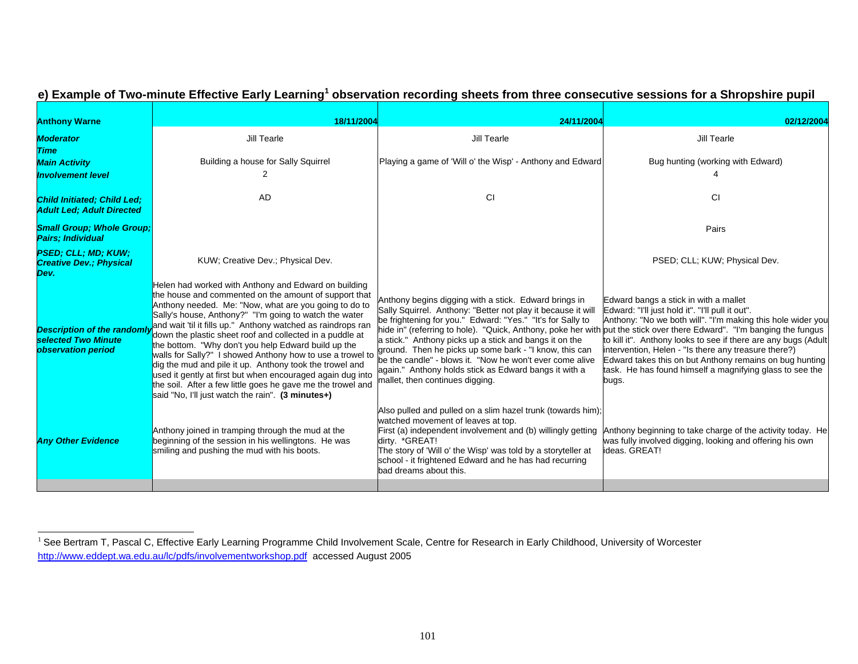| <b>Anthony Warne</b>                                                           | 18/11/2004                                                                                                                                                                                                                                                                                                                                                                                                                                                                                                                                                                                                                                                                                                                    | 24/11/2004                                                                                                                                                                                                                                                                                                                                                                                                                                                                                                                                                                                | 02/12/2004                                                                                                                                                                                                                                                                                                                                                                                                         |  |
|--------------------------------------------------------------------------------|-------------------------------------------------------------------------------------------------------------------------------------------------------------------------------------------------------------------------------------------------------------------------------------------------------------------------------------------------------------------------------------------------------------------------------------------------------------------------------------------------------------------------------------------------------------------------------------------------------------------------------------------------------------------------------------------------------------------------------|-------------------------------------------------------------------------------------------------------------------------------------------------------------------------------------------------------------------------------------------------------------------------------------------------------------------------------------------------------------------------------------------------------------------------------------------------------------------------------------------------------------------------------------------------------------------------------------------|--------------------------------------------------------------------------------------------------------------------------------------------------------------------------------------------------------------------------------------------------------------------------------------------------------------------------------------------------------------------------------------------------------------------|--|
| <b>Moderator</b><br><b>Time</b>                                                | Jill Tearle                                                                                                                                                                                                                                                                                                                                                                                                                                                                                                                                                                                                                                                                                                                   | <b>Jill Tearle</b>                                                                                                                                                                                                                                                                                                                                                                                                                                                                                                                                                                        | Jill Tearle                                                                                                                                                                                                                                                                                                                                                                                                        |  |
| <b>Main Activity</b><br><b>Involvement level</b>                               | Building a house for Sally Squirrel                                                                                                                                                                                                                                                                                                                                                                                                                                                                                                                                                                                                                                                                                           | Playing a game of 'Will o' the Wisp' - Anthony and Edward                                                                                                                                                                                                                                                                                                                                                                                                                                                                                                                                 | Bug hunting (working with Edward)                                                                                                                                                                                                                                                                                                                                                                                  |  |
| Child Initiated; Child Led;<br><b>Adult Led: Adult Directed</b>                | <b>AD</b>                                                                                                                                                                                                                                                                                                                                                                                                                                                                                                                                                                                                                                                                                                                     | CI                                                                                                                                                                                                                                                                                                                                                                                                                                                                                                                                                                                        | CI                                                                                                                                                                                                                                                                                                                                                                                                                 |  |
| <b>Small Group; Whole Group;</b><br><b>Pairs</b> ; Individual                  |                                                                                                                                                                                                                                                                                                                                                                                                                                                                                                                                                                                                                                                                                                                               |                                                                                                                                                                                                                                                                                                                                                                                                                                                                                                                                                                                           | Pairs                                                                                                                                                                                                                                                                                                                                                                                                              |  |
| <b>PSED; CLL; MD; KUW;</b><br><b>Creative Dev.; Physical</b><br>Dev.           | KUW; Creative Dev.; Physical Dev.                                                                                                                                                                                                                                                                                                                                                                                                                                                                                                                                                                                                                                                                                             |                                                                                                                                                                                                                                                                                                                                                                                                                                                                                                                                                                                           | PSED; CLL; KUW; Physical Dev.                                                                                                                                                                                                                                                                                                                                                                                      |  |
| <b>Description of the randomi</b><br>selected Two Minute<br>observation period | Helen had worked with Anthony and Edward on building<br>the house and commented on the amount of support that<br>Anthony needed. Me: "Now, what are you going to do to<br>Sally's house, Anthony?" "I'm going to watch the water<br>and wait 'til it fills up." Anthony watched as raindrops ran<br>down the plastic sheet roof and collected in a puddle at<br>the bottom. "Why don't you help Edward build up the<br>walls for Sally?" I showed Anthony how to use a trowel to<br>dig the mud and pile it up. Anthony took the trowel and<br>used it gently at first but when encouraged again dug into<br>the soil. After a few little goes he gave me the trowel and<br>said "No, I'll just watch the rain". (3 minutes+) | Anthony begins digging with a stick. Edward brings in<br>Sally Squirrel. Anthony: "Better not play it because it will<br>be frightening for you." Edward: "Yes." "It's for Sally to<br>hide in" (referring to hole). "Quick, Anthony, poke her with put the stick over there Edward". "I'm banging the fungus<br>a stick." Anthony picks up a stick and bangs it on the<br>ground. Then he picks up some bark - "I know, this can<br>be the candle" - blows it. "Now he won't ever come alive<br>again." Anthony holds stick as Edward bangs it with a<br>mallet, then continues digging. | Edward bangs a stick in with a mallet<br>Edward: "I'll just hold it". "I'll pull it out".<br>Anthony: "No we both will". "I'm making this hole wider you<br>to kill it". Anthony looks to see if there are any bugs (Adult<br>intervention, Helen - "Is there any treasure there?)<br>Edward takes this on but Anthony remains on bug hunting<br>task. He has found himself a magnifying glass to see the<br>bugs. |  |
| <b>Any Other Evidence</b>                                                      | Anthony joined in tramping through the mud at the<br>beginning of the session in his wellingtons. He was<br>smiling and pushing the mud with his boots.                                                                                                                                                                                                                                                                                                                                                                                                                                                                                                                                                                       | Also pulled and pulled on a slim hazel trunk (towards him);<br>watched movement of leaves at top.<br>First (a) independent involvement and (b) willingly getting<br>dirty. *GREAT!<br>The story of 'Will o' the Wisp' was told by a storyteller at<br>school - it frightened Edward and he has had recurring<br>bad dreams about this.                                                                                                                                                                                                                                                    | Anthony beginning to take charge of the activity today. He<br>was fully involved digging, looking and offering his own<br>ideas, GREAT!                                                                                                                                                                                                                                                                            |  |
|                                                                                |                                                                                                                                                                                                                                                                                                                                                                                                                                                                                                                                                                                                                                                                                                                               |                                                                                                                                                                                                                                                                                                                                                                                                                                                                                                                                                                                           |                                                                                                                                                                                                                                                                                                                                                                                                                    |  |

#### **e) Example of Two-minute Effective Early Learning1 observation recording sheets from three consecutive sessions for a Shropshire pupil**

 $^1$  See Bertram T, Pascal C, Effective Early Learning Programme Child Involvement Scale, Centre for Research in Early Childhood, University of Worcester http://www.eddept.wa.edu.au/lc/pdfs/involvementworkshop.pdf accessed August 2005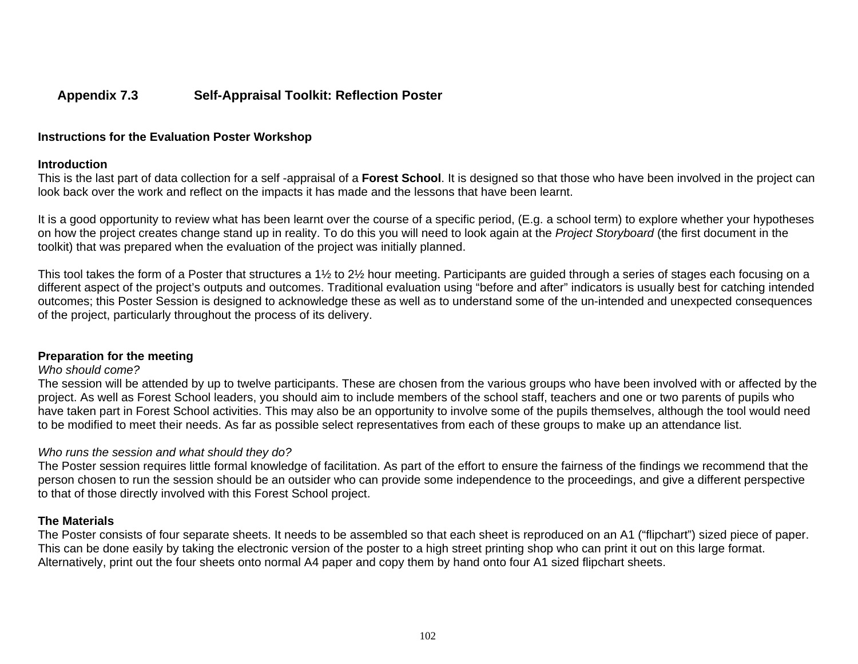#### **Appendix 7.3 Self-Appraisal Toolkit: Reflection Poster**

#### **Instructions for the Evaluation Poster Workshop**

#### **Introduction**

This is the last part of data collection for a self -appraisal of a **Forest School**. It is designed so that those who have been involved in the project can look back over the work and reflect on the impacts it has made and the lessons that have been learnt.

It is a good opportunity to review what has been learnt over the course of a specific period, (E.g. a school term) to explore whether your hypotheses on how the project creates change stand up in reality. To do this you will need to look again at the *Project Storyboard* (the first document in the toolkit) that was prepared when the evaluation of the project was initially planned.

This tool takes the form of a Poster that structures a 1½ to 2½ hour meeting. Participants are guided through a series of stages each focusing on a different aspect of the project's outputs and outcomes. Traditional evaluation using "before and after" indicators is usually best for catching intended outcomes; this Poster Session is designed to acknowledge these as well as to understand some of the un-intended and unexpected consequences of the project, particularly throughout the process of its delivery.

#### **Preparation for the meeting**

#### *Who should come?*

The session will be attended by up to twelve participants. These are chosen from the various groups who have been involved with or affected by the project. As well as Forest School leaders, you should aim to include members of the school staff, teachers and one or two parents of pupils who have taken part in Forest School activities. This may also be an opportunity to involve some of the pupils themselves, although the tool would need to be modified to meet their needs. As far as possible select representatives from each of these groups to make up an attendance list.

#### *Who runs the session and what should they do?*

The Poster session requires little formal knowledge of facilitation. As part of the effort to ensure the fairness of the findings we recommend that the person chosen to run the session should be an outsider who can provide some independence to the proceedings, and give a different perspective to that of those directly involved with this Forest School project.

#### **The Materials**

The Poster consists of four separate sheets. It needs to be assembled so that each sheet is reproduced on an A1 ("flipchart") sized piece of paper. This can be done easily by taking the electronic version of the poster to a high street printing shop who can print it out on this large format. Alternatively, print out the four sheets onto normal A4 paper and copy them by hand onto four A1 sized flipchart sheets.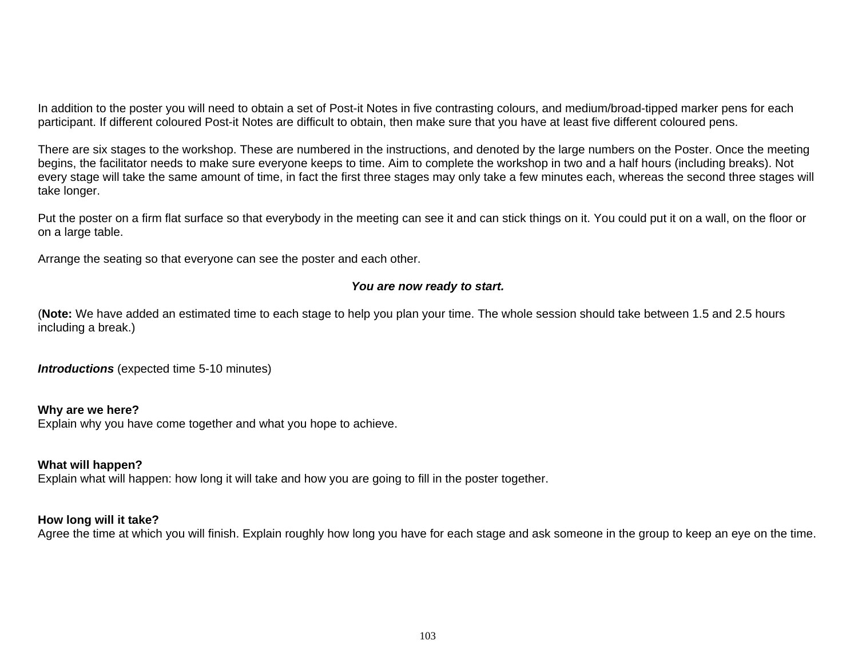In addition to the poster you will need to obtain a set of Post-it Notes in five contrasting colours, and medium/broad-tipped marker pens for each participant. If different coloured Post-it Notes are difficult to obtain, then make sure that you have at least five different coloured pens.

There are six stages to the workshop. These are numbered in the instructions, and denoted by the large numbers on the Poster. Once the meeting begins, the facilitator needs to make sure everyone keeps to time. Aim to complete the workshop in two and a half hours (including breaks). Not every stage will take the same amount of time, in fact the first three stages may only take a few minutes each, whereas the second three stages will take longer.

Put the poster on a firm flat surface so that everybody in the meeting can see it and can stick things on it. You could put it on a wall, on the floor or on a large table.

Arrange the seating so that everyone can see the poster and each other.

#### *You are now ready to start.*

(**Note:** We have added an estimated time to each stage to help you plan your time. The whole session should take between 1.5 and 2.5 hours including a break.)

*Introductions* (expected time 5-10 minutes)

#### **Why are we here?**

Explain why you have come together and what you hope to achieve.

#### **What will happen?**

Explain what will happen: how long it will take and how you are going to fill in the poster together.

#### **How long will it take?**

Agree the time at which you will finish. Explain roughly how long you have for each stage and ask someone in the group to keep an eye on the time.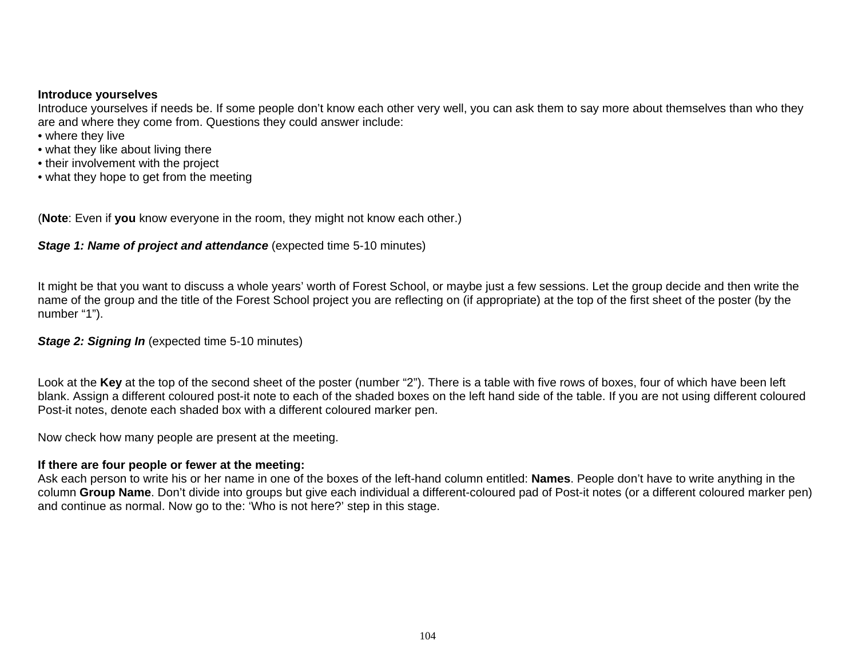#### **Introduce yourselves**

Introduce yourselves if needs be. If some people don't know each other very well, you can ask them to say more about themselves than who they are and where they come from. Questions they could answer include:

- where they live
- what they like about living there
- their involvement with the project
- what they hope to get from the meeting

(**Note**: Even if **you** know everyone in the room, they might not know each other.)

#### *Stage 1: Name of project and attendance* (expected time 5-10 minutes)

It might be that you want to discuss a whole years' worth of Forest School, or maybe just a few sessions. Let the group decide and then write the name of the group and the title of the Forest School project you are reflecting on (if appropriate) at the top of the first sheet of the poster (by the number "1").

#### *Stage 2: Signing In* (expected time 5-10 minutes)

Look at the **Key** at the top of the second sheet of the poster (number "2"). There is a table with five rows of boxes, four of which have been left blank. Assign a different coloured post-it note to each of the shaded boxes on the left hand side of the table. If you are not using different coloured Post-it notes, denote each shaded box with a different coloured marker pen.

Now check how many people are present at the meeting.

#### **If there are four people or fewer at the meeting:**

Ask each person to write his or her name in one of the boxes of the left-hand column entitled: **Names**. People don't have to write anything in the column **Group Name**. Don't divide into groups but give each individual a different-coloured pad of Post-it notes (or a different coloured marker pen) and continue as normal. Now go to the: 'Who is not here?' step in this stage.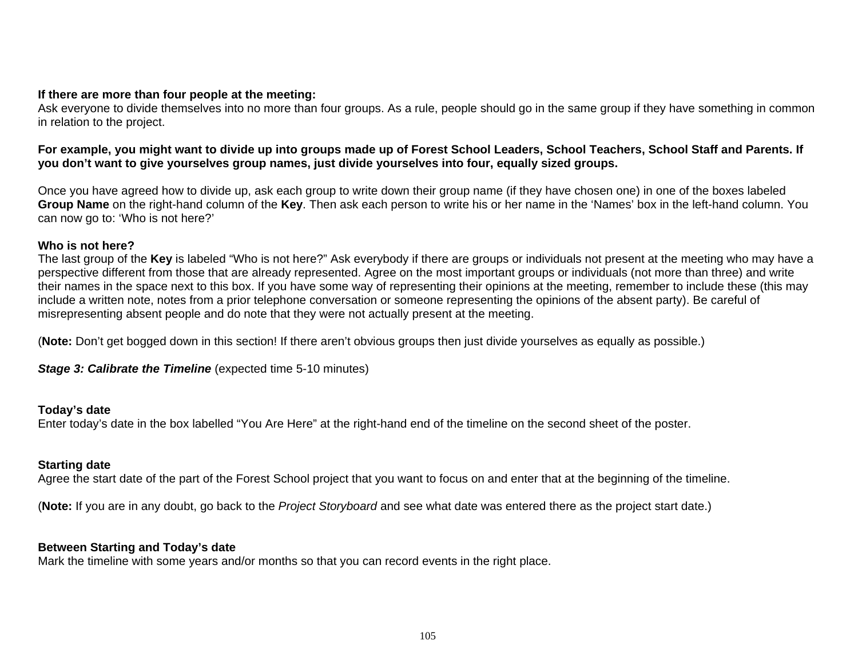#### **If there are more than four people at the meeting:**

Ask everyone to divide themselves into no more than four groups. As a rule, people should go in the same group if they have something in common in relation to the project.

#### **For example, you might want to divide up into groups made up of Forest School Leaders, School Teachers, School Staff and Parents. If you don't want to give yourselves group names, just divide yourselves into four, equally sized groups.**

Once you have agreed how to divide up, ask each group to write down their group name (if they have chosen one) in one of the boxes labeled **Group Name** on the right-hand column of the **Key**. Then ask each person to write his or her name in the 'Names' box in the left-hand column. You can now go to: 'Who is not here?'

#### **Who is not here?**

The last group of the **Key** is labeled "Who is not here?" Ask everybody if there are groups or individuals not present at the meeting who may have a perspective different from those that are already represented. Agree on the most important groups or individuals (not more than three) and write their names in the space next to this box. If you have some way of representing their opinions at the meeting, remember to include these (this may include a written note, notes from a prior telephone conversation or someone representing the opinions of the absent party). Be careful of misrepresenting absent people and do note that they were not actually present at the meeting.

(**Note:** Don't get bogged down in this section! If there aren't obvious groups then just divide yourselves as equally as possible.)

**Stage 3: Calibrate the Timeline** (expected time 5-10 minutes)

#### **Today's date**

Enter today's date in the box labelled "You Are Here" at the right-hand end of the timeline on the second sheet of the poster.

#### **Starting date**

Agree the start date of the part of the Forest School project that you want to focus on and enter that at the beginning of the timeline.

(**Note:** If you are in any doubt, go back to the *Project Storyboard* and see what date was entered there as the project start date.)

#### **Between Starting and Today's date**

Mark the timeline with some years and/or months so that you can record events in the right place.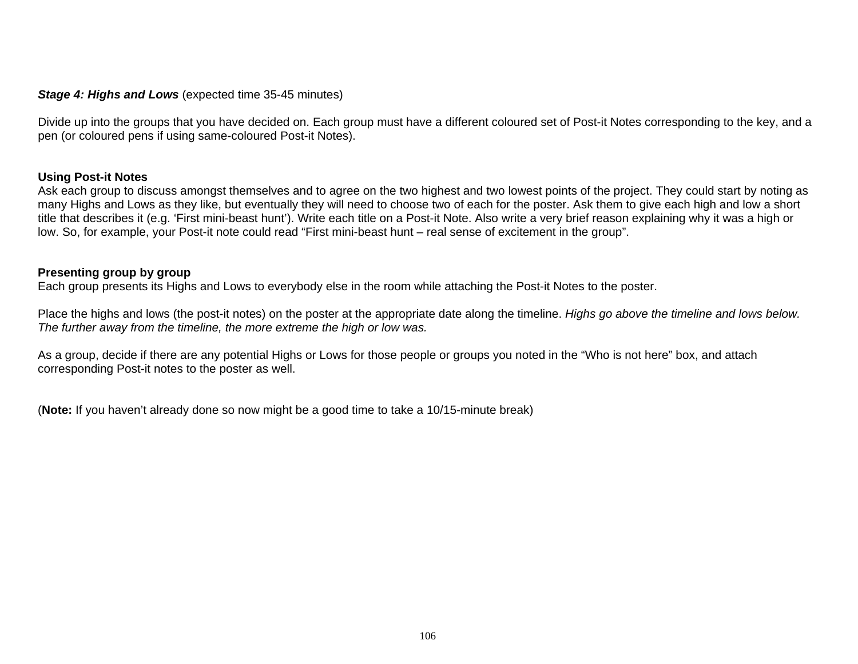#### *Stage 4: Highs and Lows* (expected time 35-45 minutes)

Divide up into the groups that you have decided on. Each group must have a different coloured set of Post-it Notes corresponding to the key, and a pen (or coloured pens if using same-coloured Post-it Notes).

#### **Using Post-it Notes**

Ask each group to discuss amongst themselves and to agree on the two highest and two lowest points of the project. They could start by noting as many Highs and Lows as they like, but eventually they will need to choose two of each for the poster. Ask them to give each high and low a short title that describes it (e.g. 'First mini-beast hunt'). Write each title on a Post-it Note. Also write a very brief reason explaining why it was a high or low. So, for example, your Post-it note could read "First mini-beast hunt – real sense of excitement in the group".

#### **Presenting group by group**

Each group presents its Highs and Lows to everybody else in the room while attaching the Post-it Notes to the poster.

Place the highs and lows (the post-it notes) on the poster at the appropriate date along the timeline. *Highs go above the timeline and lows below. The further away from the timeline, the more extreme the high or low was.*

As a group, decide if there are any potential Highs or Lows for those people or groups you noted in the "Who is not here" box, and attach corresponding Post-it notes to the poster as well.

(**Note:** If you haven't already done so now might be a good time to take a 10/15-minute break)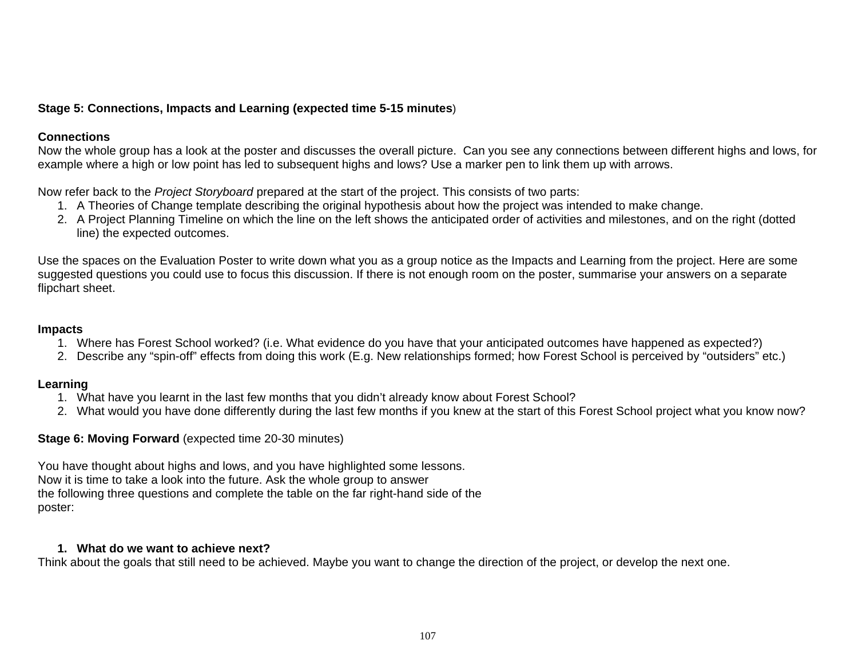#### **Stage 5: Connections, Impacts and Learning (expected time 5-15 minutes**)

#### **Connections**

Now the whole group has a look at the poster and discusses the overall picture. Can you see any connections between different highs and lows, for example where a high or low point has led to subsequent highs and lows? Use a marker pen to link them up with arrows.

Now refer back to the *Project Storyboard* prepared at the start of the project. This consists of two parts:

- 1. A Theories of Change template describing the original hypothesis about how the project was intended to make change.
- 2. A Project Planning Timeline on which the line on the left shows the anticipated order of activities and milestones, and on the right (dotted line) the expected outcomes.

Use the spaces on the Evaluation Poster to write down what you as a group notice as the Impacts and Learning from the project. Here are some suggested questions you could use to focus this discussion. If there is not enough room on the poster, summarise your answers on a separate flipchart sheet.

#### **Impacts**

- 1. Where has Forest School worked? (i.e. What evidence do you have that your anticipated outcomes have happened as expected?)
- 2. Describe any "spin-off" effects from doing this work (E.g. New relationships formed; how Forest School is perceived by "outsiders" etc.)

#### **Learning**

- 1. What have you learnt in the last few months that you didn't already know about Forest School?
- 2. What would you have done differently during the last few months if you knew at the start of this Forest School project what you know now?

#### **Stage 6: Moving Forward** (expected time 20-30 minutes)

You have thought about highs and lows, and you have highlighted some lessons. Now it is time to take a look into the future. Ask the whole group to answer the following three questions and complete the table on the far right-hand side of the poster:

#### **1. What do we want to achieve next?**

Think about the goals that still need to be achieved. Maybe you want to change the direction of the project, or develop the next one.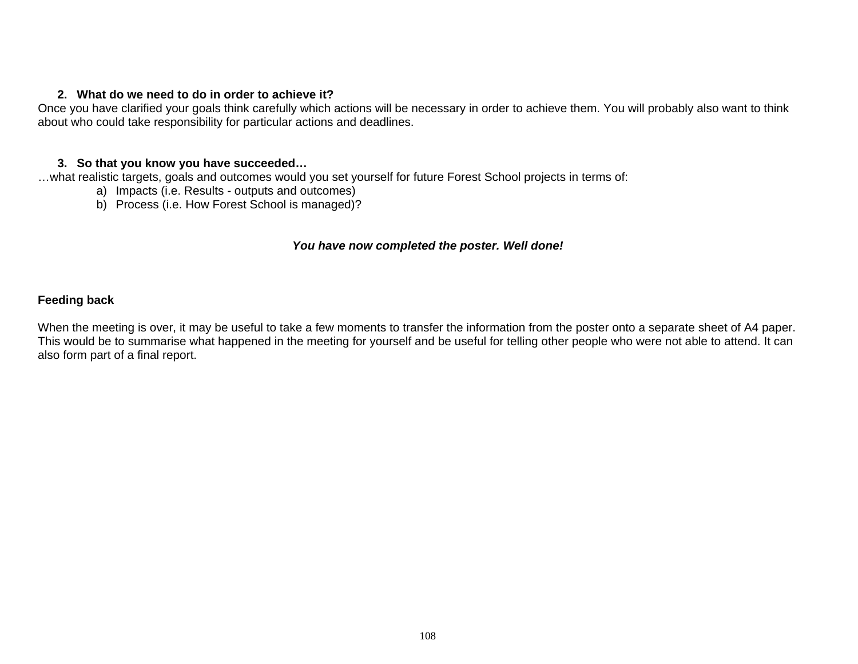#### **2. What do we need to do in order to achieve it?**

Once you have clarified your goals think carefully which actions will be necessary in order to achieve them. You will probably also want to think about who could take responsibility for particular actions and deadlines.

#### **3. So that you know you have succeeded…**

…what realistic targets, goals and outcomes would you set yourself for future Forest School projects in terms of:

- a) Impacts (i.e. Results outputs and outcomes)
- b) Process (i.e. How Forest School is managed)?

#### *You have now completed the poster. Well done!*

#### **Feeding back**

When the meeting is over, it may be useful to take a few moments to transfer the information from the poster onto a separate sheet of A4 paper. This would be to summarise what happened in the meeting for yourself and be useful for telling other people who were not able to attend. It can also form part of a final report.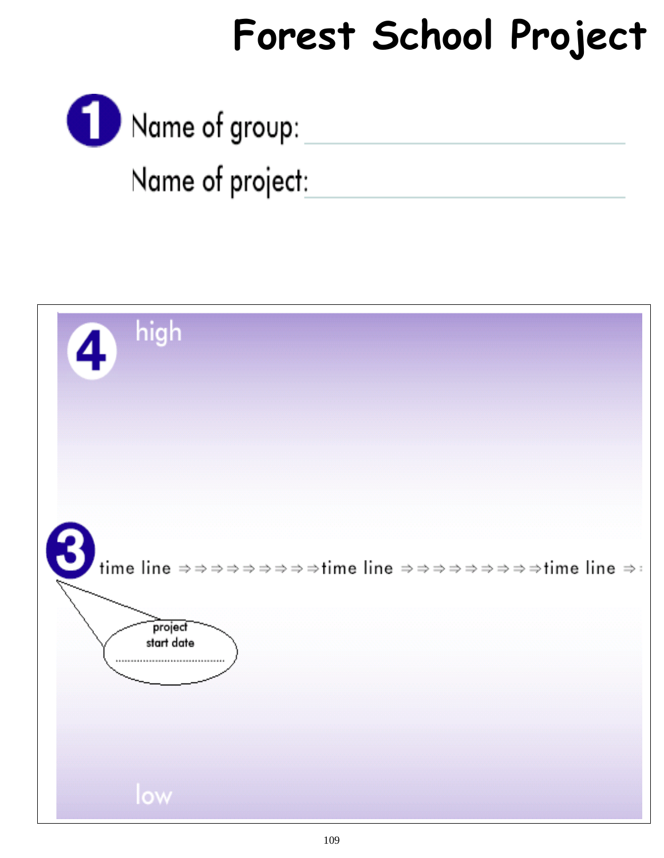# **Forest School Project**

Name of group:

Name of project:

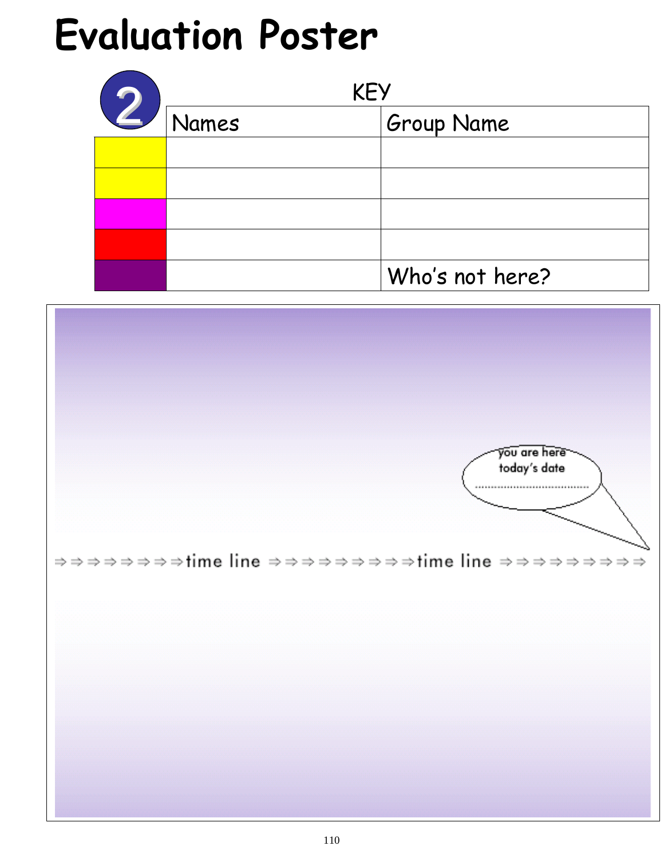# **Evaluation Poster**

|              | <b>KEY</b>   |                   |  |
|--------------|--------------|-------------------|--|
| $\mathbf{Z}$ | <b>Names</b> | <b>Group Name</b> |  |
|              |              |                   |  |
|              |              |                   |  |
|              |              |                   |  |
|              |              |                   |  |
|              |              | Who's not here?   |  |

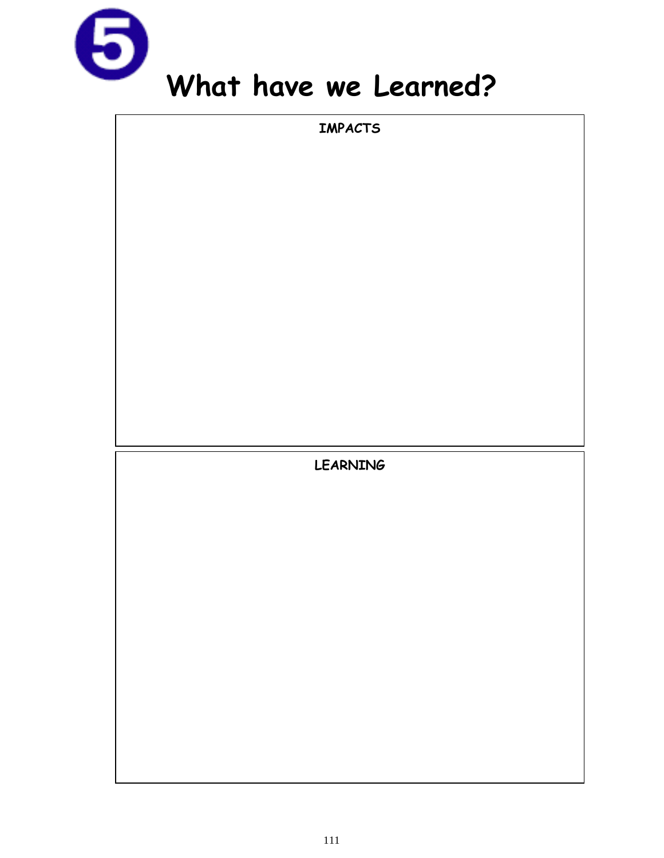

**IMPACTS LEARNING**